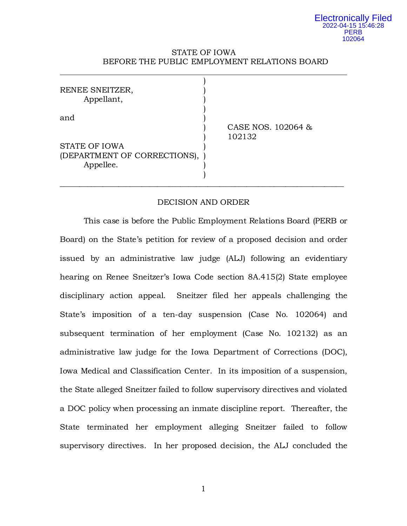## STATE OF IOWA BEFORE THE PUBLIC EMPLOYMENT RELATIONS BOARD

| RENEE SNEITZER,<br>Appellant,                              |                              |
|------------------------------------------------------------|------------------------------|
| and                                                        | CASE NOS. 102064 &<br>102132 |
| STATE OF IOWA<br>(DEPARTMENT OF CORRECTIONS),<br>Appellee. |                              |

## DECISION AND ORDER

This case is before the Public Employment Relations Board (PERB or Board) on the State's petition for review of a proposed decision and order issued by an administrative law judge (ALJ) following an evidentiary hearing on Renee Sneitzer's Iowa Code section 8A.415(2) State employee disciplinary action appeal. Sneitzer filed her appeals challenging the State's imposition of a ten-day suspension (Case No. 102064) and subsequent termination of her employment (Case No. 102132) as an administrative law judge for the Iowa Department of Corrections (DOC), Iowa Medical and Classification Center. In its imposition of a suspension, the State alleged Sneitzer failed to follow supervisory directives and violated a DOC policy when processing an inmate discipline report. Thereafter, the State terminated her employment alleging Sneitzer failed to follow supervisory directives. In her proposed decision, the ALJ concluded the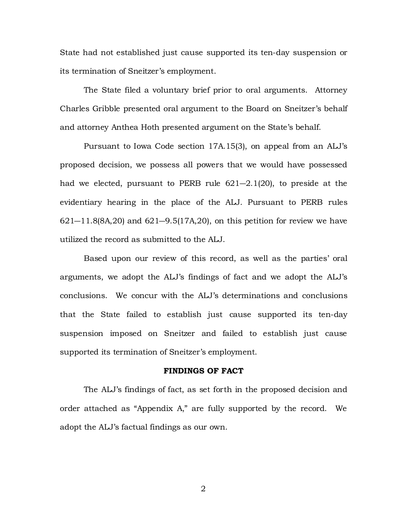State had not established just cause supported its ten-day suspension or its termination of Sneitzer's employment.

The State filed a voluntary brief prior to oral arguments. Attorney Charles Gribble presented oral argument to the Board on Sneitzer's behalf and attorney Anthea Hoth presented argument on the State's behalf.

Pursuant to Iowa Code section 17A.15(3), on appeal from an ALJ's proposed decision, we possess all powers that we would have possessed had we elected, pursuant to PERB rule 621―2.1(20), to preside at the evidentiary hearing in the place of the ALJ. Pursuant to PERB rules  $621 - 11.8(8A, 20)$  and  $621 - 9.5(17A, 20)$ , on this petition for review we have utilized the record as submitted to the ALJ.

Based upon our review of this record, as well as the parties' oral arguments, we adopt the ALJ's findings of fact and we adopt the ALJ's conclusions. We concur with the ALJ's determinations and conclusions that the State failed to establish just cause supported its ten-day suspension imposed on Sneitzer and failed to establish just cause supported its termination of Sneitzer's employment.

### **FINDINGS OF FACT**

The ALJ's findings of fact, as set forth in the proposed decision and order attached as "Appendix A," are fully supported by the record. We adopt the ALJ's factual findings as our own.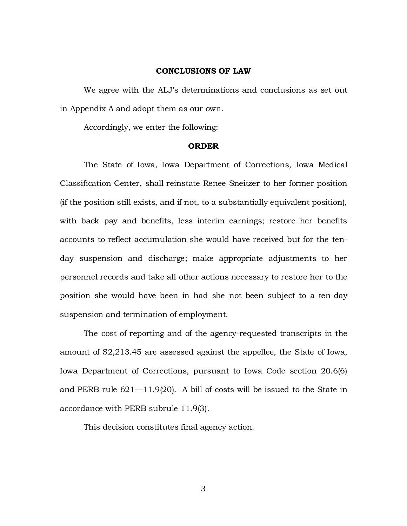## **CONCLUSIONS OF LAW**

We agree with the ALJ's determinations and conclusions as set out in Appendix A and adopt them as our own.

Accordingly, we enter the following:

### **ORDER**

The State of Iowa, Iowa Department of Corrections, Iowa Medical Classification Center, shall reinstate Renee Sneitzer to her former position (if the position still exists, and if not, to a substantially equivalent position), with back pay and benefits, less interim earnings; restore her benefits accounts to reflect accumulation she would have received but for the tenday suspension and discharge; make appropriate adjustments to her personnel records and take all other actions necessary to restore her to the position she would have been in had she not been subject to a ten-day suspension and termination of employment.

The cost of reporting and of the agency-requested transcripts in the amount of \$2,213.45 are assessed against the appellee, the State of Iowa, Iowa Department of Corrections, pursuant to Iowa Code section 20.6(6) and PERB rule 621—11.9(20). A bill of costs will be issued to the State in accordance with PERB subrule 11.9(3).

This decision constitutes final agency action.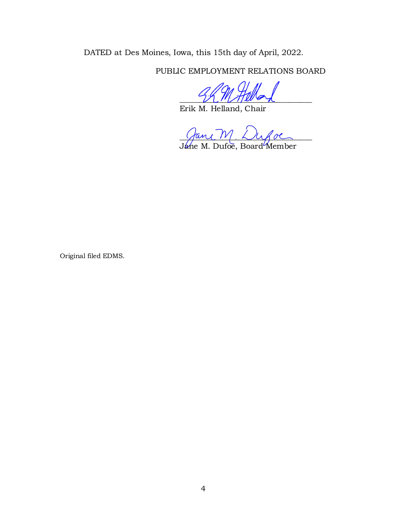DATED at Des Moines, Iowa, this 15th day of April, 2022.

PUBLIC EMPLOYMENT RELATIONS BOARD

 $\frac{1}{2}$ 

Erik M. Helland, Chair

 $\mathcal{L}$  and  $\mathcal{V}$ . Lyon

Ja*ne M. Dufoe, Board* Member

Original filed EDMS.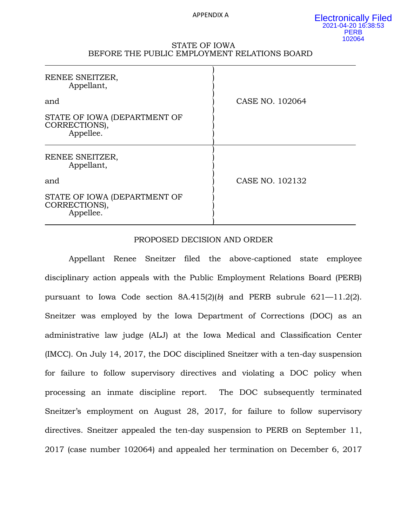#### APPENDIX A

### STATE OF IOWA BEFORE THE PUBLIC EMPLOYMENT RELATIONS BOARD

| RENEE SNEITZER,<br>Appellant,                              |                 |
|------------------------------------------------------------|-----------------|
| and                                                        | CASE NO. 102064 |
| STATE OF IOWA (DEPARTMENT OF<br>CORRECTIONS),<br>Appellee. |                 |
| RENEE SNEITZER,<br>Appellant,                              |                 |
| and                                                        | CASE NO. 102132 |
| STATE OF IOWA (DEPARTMENT OF<br>CORRECTIONS),<br>Appellee. |                 |

# PROPOSED DECISION AND ORDER

Appellant Renee Sneitzer filed the above-captioned state employee disciplinary action appeals with the Public Employment Relations Board (PERB) pursuant to Iowa Code section 8A.415(2)(*b*) and PERB subrule 621—11.2(2). Sneitzer was employed by the Iowa Department of Corrections (DOC) as an administrative law judge (ALJ) at the Iowa Medical and Classification Center (IMCC). On July 14, 2017, the DOC disciplined Sneitzer with a ten-day suspension for failure to follow supervisory directives and violating a DOC policy when processing an inmate discipline report. The DOC subsequently terminated Sneitzer's employment on August 28, 2017, for failure to follow supervisory directives. Sneitzer appealed the ten-day suspension to PERB on September 11, 2017 (case number 102064) and appealed her termination on December 6, 2017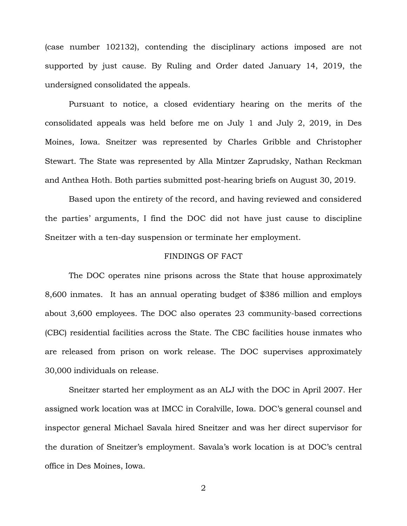(case number 102132), contending the disciplinary actions imposed are not supported by just cause. By Ruling and Order dated January 14, 2019, the undersigned consolidated the appeals.

Pursuant to notice, a closed evidentiary hearing on the merits of the consolidated appeals was held before me on July 1 and July 2, 2019, in Des Moines, Iowa. Sneitzer was represented by Charles Gribble and Christopher Stewart. The State was represented by Alla Mintzer Zaprudsky, Nathan Reckman and Anthea Hoth. Both parties submitted post-hearing briefs on August 30, 2019.

Based upon the entirety of the record, and having reviewed and considered the parties' arguments, I find the DOC did not have just cause to discipline Sneitzer with a ten-day suspension or terminate her employment.

# FINDINGS OF FACT

The DOC operates nine prisons across the State that house approximately 8,600 inmates. It has an annual operating budget of \$386 million and employs about 3,600 employees. The DOC also operates 23 community-based corrections (CBC) residential facilities across the State. The CBC facilities house inmates who are released from prison on work release. The DOC supervises approximately 30,000 individuals on release.

Sneitzer started her employment as an ALJ with the DOC in April 2007. Her assigned work location was at IMCC in Coralville, Iowa. DOC's general counsel and inspector general Michael Savala hired Sneitzer and was her direct supervisor for the duration of Sneitzer's employment. Savala's work location is at DOC's central office in Des Moines, Iowa.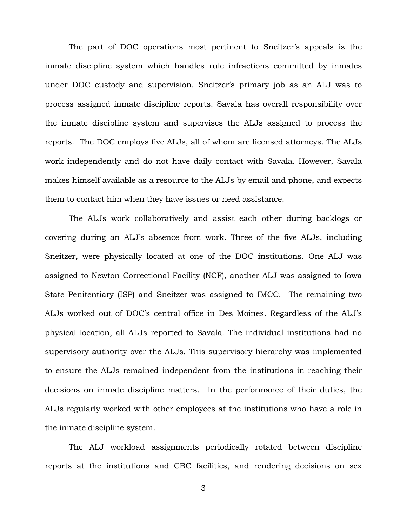The part of DOC operations most pertinent to Sneitzer's appeals is the inmate discipline system which handles rule infractions committed by inmates under DOC custody and supervision. Sneitzer's primary job as an ALJ was to process assigned inmate discipline reports. Savala has overall responsibility over the inmate discipline system and supervises the ALJs assigned to process the reports. The DOC employs five ALJs, all of whom are licensed attorneys. The ALJs work independently and do not have daily contact with Savala. However, Savala makes himself available as a resource to the ALJs by email and phone, and expects them to contact him when they have issues or need assistance.

The ALJs work collaboratively and assist each other during backlogs or covering during an ALJ's absence from work. Three of the five ALJs, including Sneitzer, were physically located at one of the DOC institutions. One ALJ was assigned to Newton Correctional Facility (NCF), another ALJ was assigned to Iowa State Penitentiary (ISP) and Sneitzer was assigned to IMCC. The remaining two ALJs worked out of DOC's central office in Des Moines. Regardless of the ALJ's physical location, all ALJs reported to Savala. The individual institutions had no supervisory authority over the ALJs. This supervisory hierarchy was implemented to ensure the ALJs remained independent from the institutions in reaching their decisions on inmate discipline matters. In the performance of their duties, the ALJs regularly worked with other employees at the institutions who have a role in the inmate discipline system.

The ALJ workload assignments periodically rotated between discipline reports at the institutions and CBC facilities, and rendering decisions on sex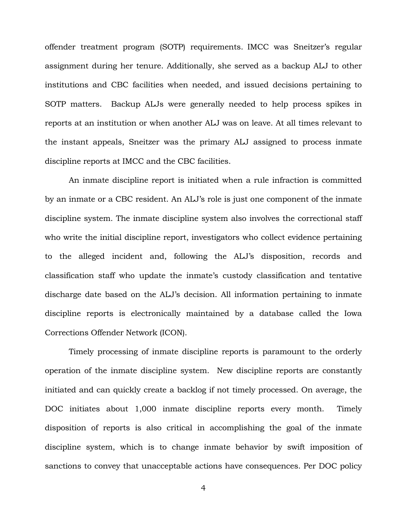offender treatment program (SOTP) requirements. IMCC was Sneitzer's regular assignment during her tenure. Additionally, she served as a backup ALJ to other institutions and CBC facilities when needed, and issued decisions pertaining to SOTP matters. Backup ALJs were generally needed to help process spikes in reports at an institution or when another ALJ was on leave. At all times relevant to the instant appeals, Sneitzer was the primary ALJ assigned to process inmate discipline reports at IMCC and the CBC facilities.

An inmate discipline report is initiated when a rule infraction is committed by an inmate or a CBC resident. An ALJ's role is just one component of the inmate discipline system. The inmate discipline system also involves the correctional staff who write the initial discipline report, investigators who collect evidence pertaining to the alleged incident and, following the ALJ's disposition, records and classification staff who update the inmate's custody classification and tentative discharge date based on the ALJ's decision. All information pertaining to inmate discipline reports is electronically maintained by a database called the Iowa Corrections Offender Network (ICON).

Timely processing of inmate discipline reports is paramount to the orderly operation of the inmate discipline system. New discipline reports are constantly initiated and can quickly create a backlog if not timely processed. On average, the DOC initiates about 1,000 inmate discipline reports every month. Timely disposition of reports is also critical in accomplishing the goal of the inmate discipline system, which is to change inmate behavior by swift imposition of sanctions to convey that unacceptable actions have consequences. Per DOC policy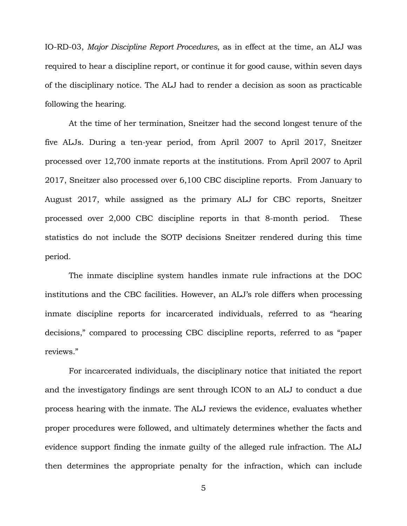IO-RD-03, *Major Discipline Report Procedures*, as in effect at the time, an ALJ was required to hear a discipline report, or continue it for good cause, within seven days of the disciplinary notice. The ALJ had to render a decision as soon as practicable following the hearing.

At the time of her termination, Sneitzer had the second longest tenure of the five ALJs. During a ten-year period, from April 2007 to April 2017, Sneitzer processed over 12,700 inmate reports at the institutions. From April 2007 to April 2017, Sneitzer also processed over 6,100 CBC discipline reports. From January to August 2017, while assigned as the primary ALJ for CBC reports, Sneitzer processed over 2,000 CBC discipline reports in that 8-month period. These statistics do not include the SOTP decisions Sneitzer rendered during this time period.

The inmate discipline system handles inmate rule infractions at the DOC institutions and the CBC facilities. However, an ALJ's role differs when processing inmate discipline reports for incarcerated individuals, referred to as "hearing decisions," compared to processing CBC discipline reports, referred to as "paper reviews."

For incarcerated individuals, the disciplinary notice that initiated the report and the investigatory findings are sent through ICON to an ALJ to conduct a due process hearing with the inmate. The ALJ reviews the evidence, evaluates whether proper procedures were followed, and ultimately determines whether the facts and evidence support finding the inmate guilty of the alleged rule infraction. The ALJ then determines the appropriate penalty for the infraction, which can include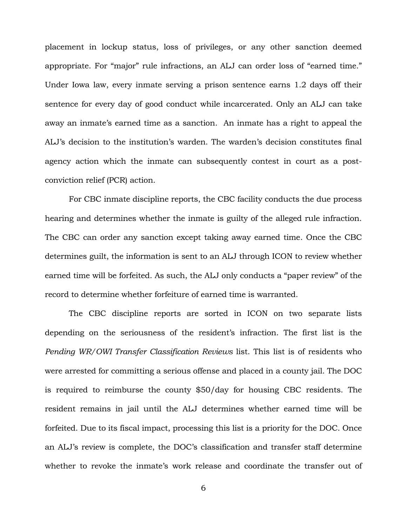placement in lockup status, loss of privileges, or any other sanction deemed appropriate. For "major" rule infractions, an ALJ can order loss of "earned time." Under Iowa law, every inmate serving a prison sentence earns 1.2 days off their sentence for every day of good conduct while incarcerated. Only an ALJ can take away an inmate's earned time as a sanction. An inmate has a right to appeal the ALJ's decision to the institution's warden. The warden's decision constitutes final agency action which the inmate can subsequently contest in court as a postconviction relief (PCR) action.

For CBC inmate discipline reports, the CBC facility conducts the due process hearing and determines whether the inmate is guilty of the alleged rule infraction. The CBC can order any sanction except taking away earned time. Once the CBC determines guilt, the information is sent to an ALJ through ICON to review whether earned time will be forfeited. As such, the ALJ only conducts a "paper review" of the record to determine whether forfeiture of earned time is warranted.

The CBC discipline reports are sorted in ICON on two separate lists depending on the seriousness of the resident's infraction. The first list is the *Pending WR/OWI Transfer Classification Reviews* list. This list is of residents who were arrested for committing a serious offense and placed in a county jail. The DOC is required to reimburse the county \$50/day for housing CBC residents. The resident remains in jail until the ALJ determines whether earned time will be forfeited. Due to its fiscal impact, processing this list is a priority for the DOC. Once an ALJ's review is complete, the DOC's classification and transfer staff determine whether to revoke the inmate's work release and coordinate the transfer out of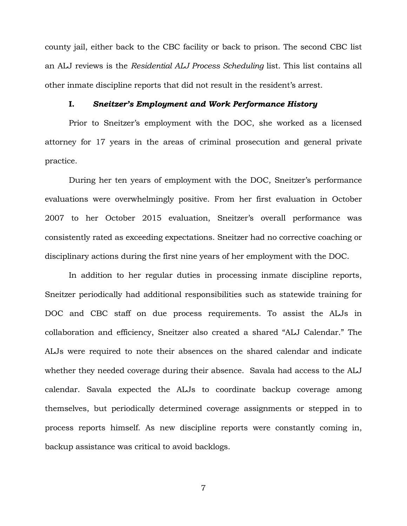county jail, either back to the CBC facility or back to prison. The second CBC list an ALJ reviews is the *Residential ALJ Process Scheduling* list. This list contains all other inmate discipline reports that did not result in the resident's arrest.

# **I.** *Sneitzer's Employment and Work Performance History*

Prior to Sneitzer's employment with the DOC, she worked as a licensed attorney for 17 years in the areas of criminal prosecution and general private practice.

During her ten years of employment with the DOC, Sneitzer's performance evaluations were overwhelmingly positive. From her first evaluation in October 2007 to her October 2015 evaluation, Sneitzer's overall performance was consistently rated as exceeding expectations. Sneitzer had no corrective coaching or disciplinary actions during the first nine years of her employment with the DOC.

In addition to her regular duties in processing inmate discipline reports, Sneitzer periodically had additional responsibilities such as statewide training for DOC and CBC staff on due process requirements. To assist the ALJs in collaboration and efficiency, Sneitzer also created a shared "ALJ Calendar." The ALJs were required to note their absences on the shared calendar and indicate whether they needed coverage during their absence. Savala had access to the ALJ calendar. Savala expected the ALJs to coordinate backup coverage among themselves, but periodically determined coverage assignments or stepped in to process reports himself. As new discipline reports were constantly coming in, backup assistance was critical to avoid backlogs.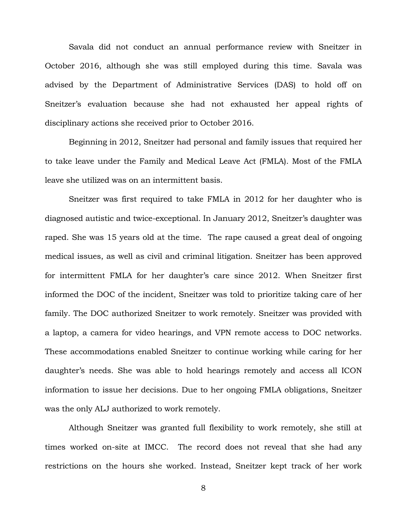Savala did not conduct an annual performance review with Sneitzer in October 2016, although she was still employed during this time. Savala was advised by the Department of Administrative Services (DAS) to hold off on Sneitzer's evaluation because she had not exhausted her appeal rights of disciplinary actions she received prior to October 2016.

Beginning in 2012, Sneitzer had personal and family issues that required her to take leave under the Family and Medical Leave Act (FMLA). Most of the FMLA leave she utilized was on an intermittent basis.

Sneitzer was first required to take FMLA in 2012 for her daughter who is diagnosed autistic and twice-exceptional. In January 2012, Sneitzer's daughter was raped. She was 15 years old at the time. The rape caused a great deal of ongoing medical issues, as well as civil and criminal litigation. Sneitzer has been approved for intermittent FMLA for her daughter's care since 2012. When Sneitzer first informed the DOC of the incident, Sneitzer was told to prioritize taking care of her family. The DOC authorized Sneitzer to work remotely. Sneitzer was provided with a laptop, a camera for video hearings, and VPN remote access to DOC networks. These accommodations enabled Sneitzer to continue working while caring for her daughter's needs. She was able to hold hearings remotely and access all ICON information to issue her decisions. Due to her ongoing FMLA obligations, Sneitzer was the only ALJ authorized to work remotely.

Although Sneitzer was granted full flexibility to work remotely, she still at times worked on-site at IMCC. The record does not reveal that she had any restrictions on the hours she worked. Instead, Sneitzer kept track of her work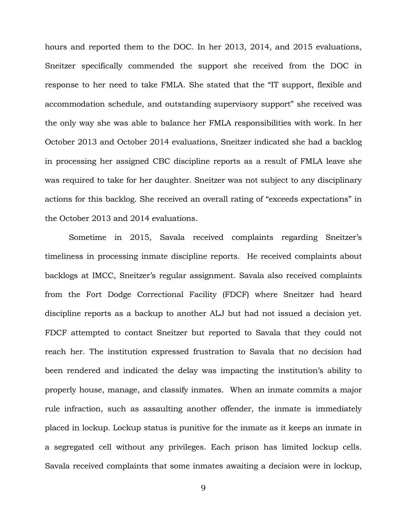hours and reported them to the DOC. In her 2013, 2014, and 2015 evaluations, Sneitzer specifically commended the support she received from the DOC in response to her need to take FMLA. She stated that the "IT support, flexible and accommodation schedule, and outstanding supervisory support" she received was the only way she was able to balance her FMLA responsibilities with work. In her October 2013 and October 2014 evaluations, Sneitzer indicated she had a backlog in processing her assigned CBC discipline reports as a result of FMLA leave she was required to take for her daughter. Sneitzer was not subject to any disciplinary actions for this backlog. She received an overall rating of "exceeds expectations" in the October 2013 and 2014 evaluations.

Sometime in 2015, Savala received complaints regarding Sneitzer's timeliness in processing inmate discipline reports. He received complaints about backlogs at IMCC, Sneitzer's regular assignment. Savala also received complaints from the Fort Dodge Correctional Facility (FDCF) where Sneitzer had heard discipline reports as a backup to another ALJ but had not issued a decision yet. FDCF attempted to contact Sneitzer but reported to Savala that they could not reach her. The institution expressed frustration to Savala that no decision had been rendered and indicated the delay was impacting the institution's ability to properly house, manage, and classify inmates. When an inmate commits a major rule infraction, such as assaulting another offender, the inmate is immediately placed in lockup. Lockup status is punitive for the inmate as it keeps an inmate in a segregated cell without any privileges. Each prison has limited lockup cells. Savala received complaints that some inmates awaiting a decision were in lockup,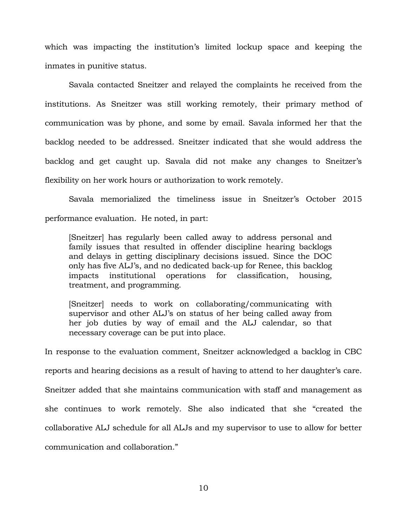which was impacting the institution's limited lockup space and keeping the inmates in punitive status.

Savala contacted Sneitzer and relayed the complaints he received from the institutions. As Sneitzer was still working remotely, their primary method of communication was by phone, and some by email. Savala informed her that the backlog needed to be addressed. Sneitzer indicated that she would address the backlog and get caught up. Savala did not make any changes to Sneitzer's flexibility on her work hours or authorization to work remotely.

Savala memorialized the timeliness issue in Sneitzer's October 2015 performance evaluation. He noted, in part:

[Sneitzer] has regularly been called away to address personal and family issues that resulted in offender discipline hearing backlogs and delays in getting disciplinary decisions issued. Since the DOC only has five ALJ's, and no dedicated back-up for Renee, this backlog impacts institutional operations for classification, housing, treatment, and programming.

[Sneitzer] needs to work on collaborating/communicating with supervisor and other ALJ's on status of her being called away from her job duties by way of email and the ALJ calendar, so that necessary coverage can be put into place.

In response to the evaluation comment, Sneitzer acknowledged a backlog in CBC reports and hearing decisions as a result of having to attend to her daughter's care. Sneitzer added that she maintains communication with staff and management as she continues to work remotely. She also indicated that she "created the collaborative ALJ schedule for all ALJs and my supervisor to use to allow for better communication and collaboration."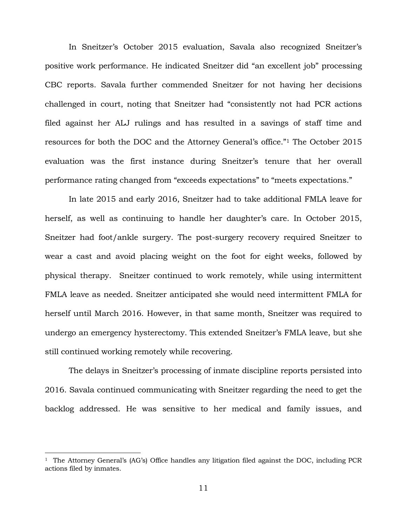In Sneitzer's October 2015 evaluation, Savala also recognized Sneitzer's positive work performance. He indicated Sneitzer did "an excellent job" processing CBC reports. Savala further commended Sneitzer for not having her decisions challenged in court, noting that Sneitzer had "consistently not had PCR actions filed against her ALJ rulings and has resulted in a savings of staff time and resources for both the DOC and the Attorney General's office."<sup>1</sup> The October 2015 evaluation was the first instance during Sneitzer's tenure that her overall performance rating changed from "exceeds expectations" to "meets expectations."

In late 2015 and early 2016, Sneitzer had to take additional FMLA leave for herself, as well as continuing to handle her daughter's care. In October 2015, Sneitzer had foot/ankle surgery. The post-surgery recovery required Sneitzer to wear a cast and avoid placing weight on the foot for eight weeks, followed by physical therapy. Sneitzer continued to work remotely, while using intermittent FMLA leave as needed. Sneitzer anticipated she would need intermittent FMLA for herself until March 2016. However, in that same month, Sneitzer was required to undergo an emergency hysterectomy. This extended Sneitzer's FMLA leave, but she still continued working remotely while recovering.

The delays in Sneitzer's processing of inmate discipline reports persisted into 2016. Savala continued communicating with Sneitzer regarding the need to get the backlog addressed. He was sensitive to her medical and family issues, and

÷.

<sup>&</sup>lt;sup>1</sup> The Attorney General's (AG's) Office handles any litigation filed against the DOC, including PCR actions filed by inmates.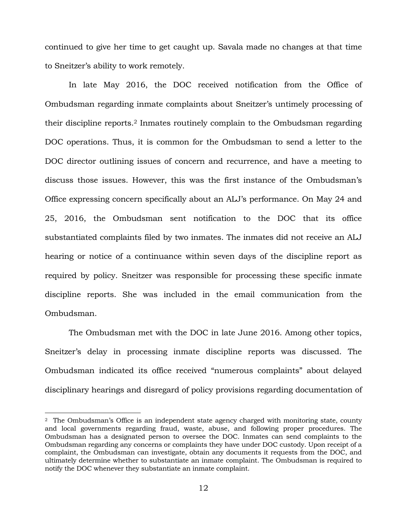continued to give her time to get caught up. Savala made no changes at that time to Sneitzer's ability to work remotely.

In late May 2016, the DOC received notification from the Office of Ombudsman regarding inmate complaints about Sneitzer's untimely processing of their discipline reports. <sup>2</sup> Inmates routinely complain to the Ombudsman regarding DOC operations. Thus, it is common for the Ombudsman to send a letter to the DOC director outlining issues of concern and recurrence, and have a meeting to discuss those issues. However, this was the first instance of the Ombudsman's Office expressing concern specifically about an ALJ's performance. On May 24 and 25, 2016, the Ombudsman sent notification to the DOC that its office substantiated complaints filed by two inmates. The inmates did not receive an ALJ hearing or notice of a continuance within seven days of the discipline report as required by policy. Sneitzer was responsible for processing these specific inmate discipline reports. She was included in the email communication from the Ombudsman.

The Ombudsman met with the DOC in late June 2016. Among other topics, Sneitzer's delay in processing inmate discipline reports was discussed. The Ombudsman indicated its office received "numerous complaints" about delayed disciplinary hearings and disregard of policy provisions regarding documentation of

÷.

 $2\degree$  The Ombudsman's Office is an independent state agency charged with monitoring state, county and local governments regarding fraud, waste, abuse, and following proper procedures. The Ombudsman has a designated person to oversee the DOC. Inmates can send complaints to the Ombudsman regarding any concerns or complaints they have under DOC custody. Upon receipt of a complaint, the Ombudsman can investigate, obtain any documents it requests from the DOC, and ultimately determine whether to substantiate an inmate complaint. The Ombudsman is required to notify the DOC whenever they substantiate an inmate complaint.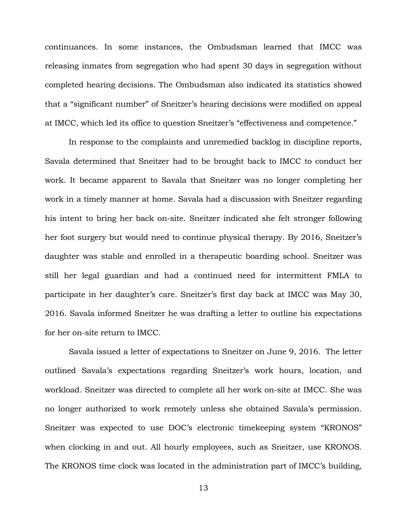continuances. In some instances, the Ombudsman learned that IMCC was releasing inmates from segregation who had spent 30 days in segregation without completed hearing decisions. The Ombudsman also indicated its statistics showed that a "significant number" of Sneitzer's hearing decisions were modified on appeal at IMCC, which led its office to question Sneitzer's "effectiveness and competence."

In response to the complaints and unremedied backlog in discipline reports, Savala determined that Sneitzer had to be brought back to IMCC to conduct her work. It became apparent to Savala that Sneitzer was no longer completing her work in a timely manner at home. Savala had a discussion with Sneitzer regarding his intent to bring her back on-site. Sneitzer indicated she felt stronger following her foot surgery but would need to continue physical therapy. By 2016, Sneitzer's daughter was stable and enrolled in a therapeutic boarding school. Sneitzer was still her legal guardian and had a continued need for intermittent FMLA to participate in her daughter's care. Sneitzer's first day back at IMCC was May 30, 2016. Savala informed Sneitzer he was drafting a letter to outline his expectations for her on-site return to IMCC.

Savala issued a letter of expectations to Sneitzer on June 9, 2016. The letter outlined Savala's expectations regarding Sneitzer's work hours, location, and workload. Sneitzer was directed to complete all her work on-site at IMCC. She was no longer authorized to work remotely unless she obtained Savala's permission. Sneitzer was expected to use DOC's electronic timekeeping system "KRONOS" when clocking in and out. All hourly employees, such as Sneitzer, use KRONOS. The KRONOS time clock was located in the administration part of IMCC's building,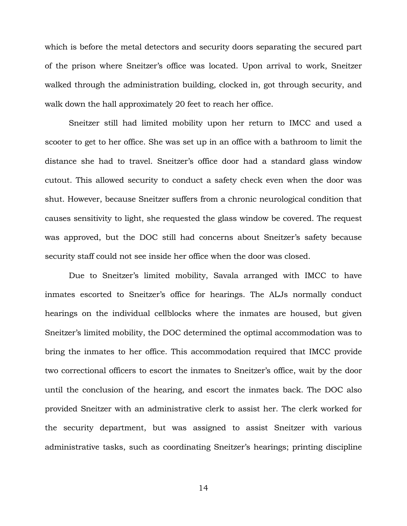which is before the metal detectors and security doors separating the secured part of the prison where Sneitzer's office was located. Upon arrival to work, Sneitzer walked through the administration building, clocked in, got through security, and walk down the hall approximately 20 feet to reach her office.

Sneitzer still had limited mobility upon her return to IMCC and used a scooter to get to her office. She was set up in an office with a bathroom to limit the distance she had to travel. Sneitzer's office door had a standard glass window cutout. This allowed security to conduct a safety check even when the door was shut. However, because Sneitzer suffers from a chronic neurological condition that causes sensitivity to light, she requested the glass window be covered. The request was approved, but the DOC still had concerns about Sneitzer's safety because security staff could not see inside her office when the door was closed.

Due to Sneitzer's limited mobility, Savala arranged with IMCC to have inmates escorted to Sneitzer's office for hearings. The ALJs normally conduct hearings on the individual cellblocks where the inmates are housed, but given Sneitzer's limited mobility, the DOC determined the optimal accommodation was to bring the inmates to her office. This accommodation required that IMCC provide two correctional officers to escort the inmates to Sneitzer's office, wait by the door until the conclusion of the hearing, and escort the inmates back. The DOC also provided Sneitzer with an administrative clerk to assist her. The clerk worked for the security department, but was assigned to assist Sneitzer with various administrative tasks, such as coordinating Sneitzer's hearings; printing discipline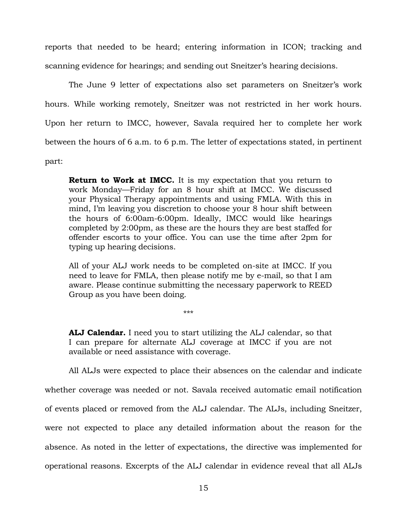reports that needed to be heard; entering information in ICON; tracking and scanning evidence for hearings; and sending out Sneitzer's hearing decisions.

The June 9 letter of expectations also set parameters on Sneitzer's work hours. While working remotely, Sneitzer was not restricted in her work hours. Upon her return to IMCC, however, Savala required her to complete her work between the hours of 6 a.m. to 6 p.m. The letter of expectations stated, in pertinent part:

**Return to Work at IMCC.** It is my expectation that you return to work Monday—Friday for an 8 hour shift at IMCC. We discussed your Physical Therapy appointments and using FMLA. With this in mind, I'm leaving you discretion to choose your 8 hour shift between the hours of 6:00am-6:00pm. Ideally, IMCC would like hearings completed by 2:00pm, as these are the hours they are best staffed for offender escorts to your office. You can use the time after 2pm for typing up hearing decisions.

All of your ALJ work needs to be completed on-site at IMCC. If you need to leave for FMLA, then please notify me by e-mail, so that I am aware. Please continue submitting the necessary paperwork to REED Group as you have been doing.

\*\*\*

**ALJ Calendar.** I need you to start utilizing the ALJ calendar, so that I can prepare for alternate ALJ coverage at IMCC if you are not available or need assistance with coverage.

All ALJs were expected to place their absences on the calendar and indicate whether coverage was needed or not. Savala received automatic email notification of events placed or removed from the ALJ calendar. The ALJs, including Sneitzer, were not expected to place any detailed information about the reason for the absence. As noted in the letter of expectations, the directive was implemented for operational reasons. Excerpts of the ALJ calendar in evidence reveal that all ALJs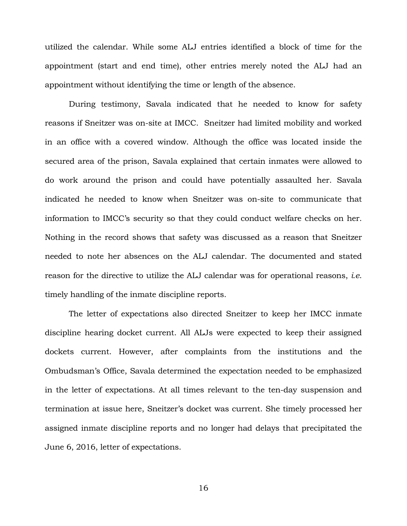utilized the calendar. While some ALJ entries identified a block of time for the appointment (start and end time), other entries merely noted the ALJ had an appointment without identifying the time or length of the absence.

During testimony, Savala indicated that he needed to know for safety reasons if Sneitzer was on-site at IMCC. Sneitzer had limited mobility and worked in an office with a covered window. Although the office was located inside the secured area of the prison, Savala explained that certain inmates were allowed to do work around the prison and could have potentially assaulted her. Savala indicated he needed to know when Sneitzer was on-site to communicate that information to IMCC's security so that they could conduct welfare checks on her. Nothing in the record shows that safety was discussed as a reason that Sneitzer needed to note her absences on the ALJ calendar. The documented and stated reason for the directive to utilize the ALJ calendar was for operational reasons, *i.e*. timely handling of the inmate discipline reports.

The letter of expectations also directed Sneitzer to keep her IMCC inmate discipline hearing docket current. All ALJs were expected to keep their assigned dockets current. However, after complaints from the institutions and the Ombudsman's Office, Savala determined the expectation needed to be emphasized in the letter of expectations. At all times relevant to the ten-day suspension and termination at issue here, Sneitzer's docket was current. She timely processed her assigned inmate discipline reports and no longer had delays that precipitated the June 6, 2016, letter of expectations.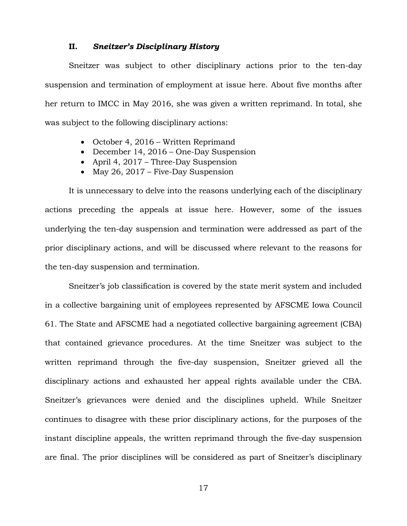## **II.** *Sneitzer's Disciplinary History*

Sneitzer was subject to other disciplinary actions prior to the ten-day suspension and termination of employment at issue here. About five months after her return to IMCC in May 2016, she was given a written reprimand. In total, she was subject to the following disciplinary actions:

- October 4, 2016 Written Reprimand
- December 14, 2016 One-Day Suspension
- April 4, 2017 Three-Day Suspension
- May 26, 2017 Five-Day Suspension

It is unnecessary to delve into the reasons underlying each of the disciplinary actions preceding the appeals at issue here. However, some of the issues underlying the ten-day suspension and termination were addressed as part of the prior disciplinary actions, and will be discussed where relevant to the reasons for the ten-day suspension and termination.

Sneitzer's job classification is covered by the state merit system and included in a collective bargaining unit of employees represented by AFSCME Iowa Council 61. The State and AFSCME had a negotiated collective bargaining agreement (CBA) that contained grievance procedures. At the time Sneitzer was subject to the written reprimand through the five-day suspension, Sneitzer grieved all the disciplinary actions and exhausted her appeal rights available under the CBA. Sneitzer's grievances were denied and the disciplines upheld. While Sneitzer continues to disagree with these prior disciplinary actions, for the purposes of the instant discipline appeals, the written reprimand through the five-day suspension are final. The prior disciplines will be considered as part of Sneitzer's disciplinary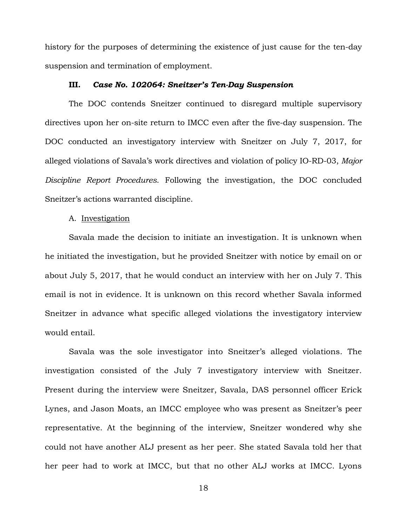history for the purposes of determining the existence of just cause for the ten-day suspension and termination of employment.

## **III.** *Case No. 102064: Sneitzer's Ten-Day Suspension*

The DOC contends Sneitzer continued to disregard multiple supervisory directives upon her on-site return to IMCC even after the five-day suspension. The DOC conducted an investigatory interview with Sneitzer on July 7, 2017, for alleged violations of Savala's work directives and violation of policy IO-RD-03, *Major Discipline Report Procedures*. Following the investigation, the DOC concluded Sneitzer's actions warranted discipline.

## A. Investigation

Savala made the decision to initiate an investigation. It is unknown when he initiated the investigation, but he provided Sneitzer with notice by email on or about July 5, 2017, that he would conduct an interview with her on July 7. This email is not in evidence. It is unknown on this record whether Savala informed Sneitzer in advance what specific alleged violations the investigatory interview would entail.

Savala was the sole investigator into Sneitzer's alleged violations. The investigation consisted of the July 7 investigatory interview with Sneitzer. Present during the interview were Sneitzer, Savala, DAS personnel officer Erick Lynes, and Jason Moats, an IMCC employee who was present as Sneitzer's peer representative. At the beginning of the interview, Sneitzer wondered why she could not have another ALJ present as her peer. She stated Savala told her that her peer had to work at IMCC, but that no other ALJ works at IMCC. Lyons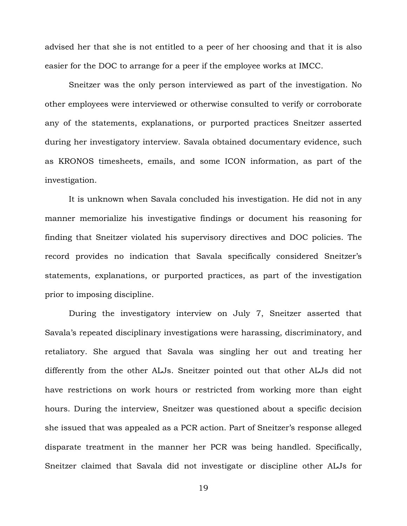advised her that she is not entitled to a peer of her choosing and that it is also easier for the DOC to arrange for a peer if the employee works at IMCC.

Sneitzer was the only person interviewed as part of the investigation. No other employees were interviewed or otherwise consulted to verify or corroborate any of the statements, explanations, or purported practices Sneitzer asserted during her investigatory interview. Savala obtained documentary evidence, such as KRONOS timesheets, emails, and some ICON information, as part of the investigation.

It is unknown when Savala concluded his investigation. He did not in any manner memorialize his investigative findings or document his reasoning for finding that Sneitzer violated his supervisory directives and DOC policies. The record provides no indication that Savala specifically considered Sneitzer's statements, explanations, or purported practices, as part of the investigation prior to imposing discipline.

During the investigatory interview on July 7, Sneitzer asserted that Savala's repeated disciplinary investigations were harassing, discriminatory, and retaliatory. She argued that Savala was singling her out and treating her differently from the other ALJs. Sneitzer pointed out that other ALJs did not have restrictions on work hours or restricted from working more than eight hours. During the interview, Sneitzer was questioned about a specific decision she issued that was appealed as a PCR action. Part of Sneitzer's response alleged disparate treatment in the manner her PCR was being handled. Specifically, Sneitzer claimed that Savala did not investigate or discipline other ALJs for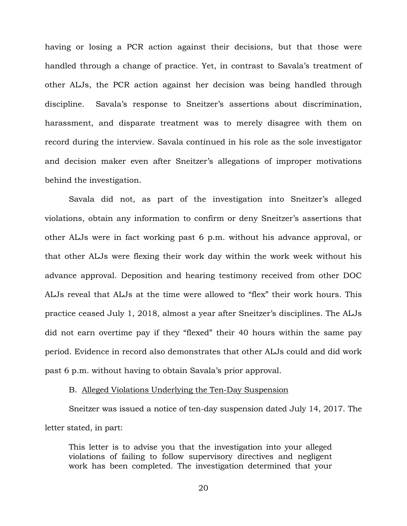having or losing a PCR action against their decisions, but that those were handled through a change of practice. Yet, in contrast to Savala's treatment of other ALJs, the PCR action against her decision was being handled through discipline. Savala's response to Sneitzer's assertions about discrimination, harassment, and disparate treatment was to merely disagree with them on record during the interview. Savala continued in his role as the sole investigator and decision maker even after Sneitzer's allegations of improper motivations behind the investigation.

Savala did not, as part of the investigation into Sneitzer's alleged violations, obtain any information to confirm or deny Sneitzer's assertions that other ALJs were in fact working past 6 p.m. without his advance approval, or that other ALJs were flexing their work day within the work week without his advance approval. Deposition and hearing testimony received from other DOC ALJs reveal that ALJs at the time were allowed to "flex" their work hours. This practice ceased July 1, 2018, almost a year after Sneitzer's disciplines. The ALJs did not earn overtime pay if they "flexed" their 40 hours within the same pay period. Evidence in record also demonstrates that other ALJs could and did work past 6 p.m. without having to obtain Savala's prior approval.

## B. Alleged Violations Underlying the Ten-Day Suspension

Sneitzer was issued a notice of ten-day suspension dated July 14, 2017. The letter stated, in part:

This letter is to advise you that the investigation into your alleged violations of failing to follow supervisory directives and negligent work has been completed. The investigation determined that your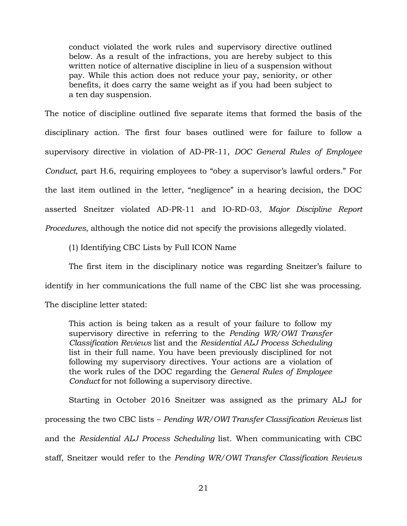conduct violated the work rules and supervisory directive outlined below. As a result of the infractions, you are hereby subject to this written notice of alternative discipline in lieu of a suspension without pay. While this action does not reduce your pay, seniority, or other benefits, it does carry the same weight as if you had been subject to a ten day suspension.

The notice of discipline outlined five separate items that formed the basis of the disciplinary action. The first four bases outlined were for failure to follow a supervisory directive in violation of AD-PR-11, *DOC General Rules of Employee Conduct*, part H.6, requiring employees to "obey a supervisor's lawful orders." For the last item outlined in the letter, "negligence" in a hearing decision, the DOC asserted Sneitzer violated AD-PR-11 and IO-RD-03, *Major Discipline Report Procedures*, although the notice did not specify the provisions allegedly violated.

(1) Identifying CBC Lists by Full ICON Name

The first item in the disciplinary notice was regarding Sneitzer's failure to identify in her communications the full name of the CBC list she was processing. The discipline letter stated:

This action is being taken as a result of your failure to follow my supervisory directive in referring to the *Pending WR/OWI Transfer Classification Reviews* list and the *Residential ALJ Process Scheduling*  list in their full name. You have been previously disciplined for not following my supervisory directives. Your actions are a violation of the work rules of the DOC regarding the *General Rules of Employee Conduct* for not following a supervisory directive.

Starting in October 2016 Sneitzer was assigned as the primary ALJ for processing the two CBC lists – *Pending WR/OWI Transfer Classification Reviews* list and the *Residential ALJ Process Scheduling* list. When communicating with CBC staff, Sneitzer would refer to the *Pending WR/OWI Transfer Classification Reviews*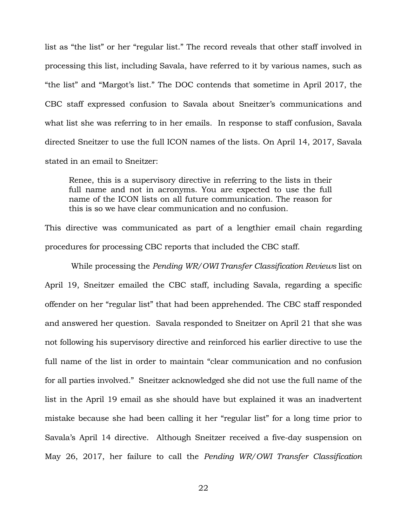list as "the list" or her "regular list." The record reveals that other staff involved in processing this list, including Savala, have referred to it by various names, such as "the list" and "Margot's list." The DOC contends that sometime in April 2017, the CBC staff expressed confusion to Savala about Sneitzer's communications and what list she was referring to in her emails. In response to staff confusion, Savala directed Sneitzer to use the full ICON names of the lists. On April 14, 2017, Savala stated in an email to Sneitzer:

Renee, this is a supervisory directive in referring to the lists in their full name and not in acronyms. You are expected to use the full name of the ICON lists on all future communication. The reason for this is so we have clear communication and no confusion.

This directive was communicated as part of a lengthier email chain regarding procedures for processing CBC reports that included the CBC staff.

While processing the *Pending WR/OWI Transfer Classification Reviews* list on April 19, Sneitzer emailed the CBC staff, including Savala, regarding a specific offender on her "regular list" that had been apprehended. The CBC staff responded and answered her question. Savala responded to Sneitzer on April 21 that she was not following his supervisory directive and reinforced his earlier directive to use the full name of the list in order to maintain "clear communication and no confusion for all parties involved." Sneitzer acknowledged she did not use the full name of the list in the April 19 email as she should have but explained it was an inadvertent mistake because she had been calling it her "regular list" for a long time prior to Savala's April 14 directive. Although Sneitzer received a five-day suspension on May 26, 2017, her failure to call the *Pending WR/OWI Transfer Classification*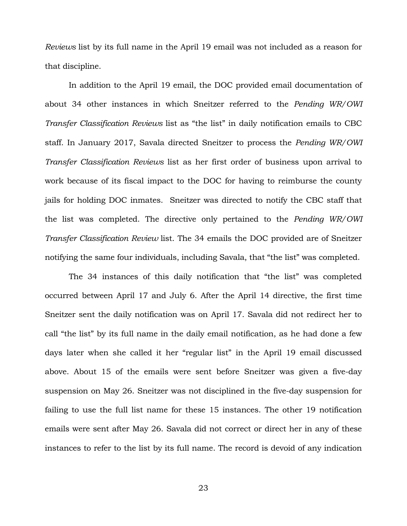*Reviews* list by its full name in the April 19 email was not included as a reason for that discipline.

In addition to the April 19 email, the DOC provided email documentation of about 34 other instances in which Sneitzer referred to the *Pending WR/OWI Transfer Classification Reviews* list as "the list" in daily notification emails to CBC staff. In January 2017, Savala directed Sneitzer to process the *Pending WR/OWI Transfer Classification Reviews* list as her first order of business upon arrival to work because of its fiscal impact to the DOC for having to reimburse the county jails for holding DOC inmates. Sneitzer was directed to notify the CBC staff that the list was completed. The directive only pertained to the *Pending WR/OWI Transfer Classification Review* list. The 34 emails the DOC provided are of Sneitzer notifying the same four individuals, including Savala, that "the list" was completed.

The 34 instances of this daily notification that "the list" was completed occurred between April 17 and July 6. After the April 14 directive, the first time Sneitzer sent the daily notification was on April 17. Savala did not redirect her to call "the list" by its full name in the daily email notification, as he had done a few days later when she called it her "regular list" in the April 19 email discussed above. About 15 of the emails were sent before Sneitzer was given a five-day suspension on May 26. Sneitzer was not disciplined in the five-day suspension for failing to use the full list name for these 15 instances. The other 19 notification emails were sent after May 26. Savala did not correct or direct her in any of these instances to refer to the list by its full name. The record is devoid of any indication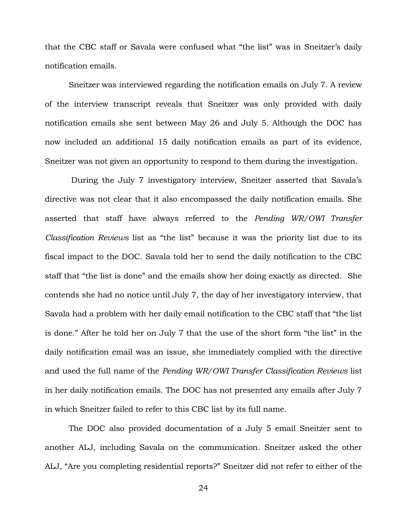that the CBC staff or Savala were confused what "the list" was in Sneitzer's daily notification emails.

Sneitzer was interviewed regarding the notification emails on July 7. A review of the interview transcript reveals that Sneitzer was only provided with daily notification emails she sent between May 26 and July 5. Although the DOC has now included an additional 15 daily notification emails as part of its evidence, Sneitzer was not given an opportunity to respond to them during the investigation.

During the July 7 investigatory interview, Sneitzer asserted that Savala's directive was not clear that it also encompassed the daily notification emails. She asserted that staff have always referred to the *Pending WR/OWI Transfer Classification Reviews* list as "the list" because it was the priority list due to its fiscal impact to the DOC. Savala told her to send the daily notification to the CBC staff that "the list is done" and the emails show her doing exactly as directed. She contends she had no notice until July 7, the day of her investigatory interview, that Savala had a problem with her daily email notification to the CBC staff that "the list is done." After he told her on July 7 that the use of the short form "the list" in the daily notification email was an issue, she immediately complied with the directive and used the full name of the *Pending WR/OWI Transfer Classification Reviews* list in her daily notification emails. The DOC has not presented any emails after July 7 in which Sneitzer failed to refer to this CBC list by its full name.

The DOC also provided documentation of a July 5 email Sneitzer sent to another ALJ, including Savala on the communication. Sneitzer asked the other ALJ, "Are you completing residential reports?" Sneitzer did not refer to either of the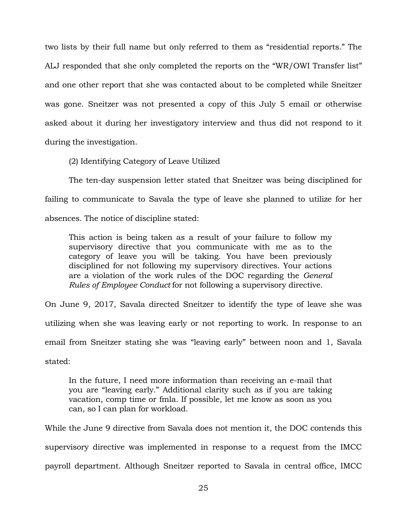two lists by their full name but only referred to them as "residential reports." The ALJ responded that she only completed the reports on the "WR/OWI Transfer list" and one other report that she was contacted about to be completed while Sneitzer was gone. Sneitzer was not presented a copy of this July 5 email or otherwise asked about it during her investigatory interview and thus did not respond to it during the investigation.

(2) Identifying Category of Leave Utilized

The ten-day suspension letter stated that Sneitzer was being disciplined for failing to communicate to Savala the type of leave she planned to utilize for her absences. The notice of discipline stated:

This action is being taken as a result of your failure to follow my supervisory directive that you communicate with me as to the category of leave you will be taking. You have been previously disciplined for not following my supervisory directives. Your actions are a violation of the work rules of the DOC regarding the *General Rules of Employee Conduct* for not following a supervisory directive.

On June 9, 2017, Savala directed Sneitzer to identify the type of leave she was utilizing when she was leaving early or not reporting to work. In response to an email from Sneitzer stating she was "leaving early" between noon and 1, Savala stated:

In the future, I need more information than receiving an e-mail that you are "leaving early." Additional clarity such as if you are taking vacation, comp time or fmla. If possible, let me know as soon as you can, so I can plan for workload.

While the June 9 directive from Savala does not mention it, the DOC contends this supervisory directive was implemented in response to a request from the IMCC payroll department. Although Sneitzer reported to Savala in central office, IMCC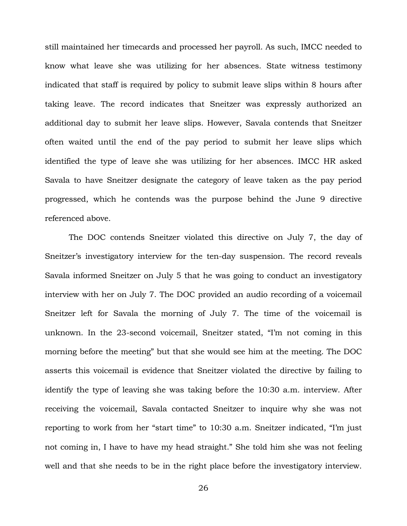still maintained her timecards and processed her payroll. As such, IMCC needed to know what leave she was utilizing for her absences. State witness testimony indicated that staff is required by policy to submit leave slips within 8 hours after taking leave. The record indicates that Sneitzer was expressly authorized an additional day to submit her leave slips. However, Savala contends that Sneitzer often waited until the end of the pay period to submit her leave slips which identified the type of leave she was utilizing for her absences. IMCC HR asked Savala to have Sneitzer designate the category of leave taken as the pay period progressed, which he contends was the purpose behind the June 9 directive referenced above.

The DOC contends Sneitzer violated this directive on July 7, the day of Sneitzer's investigatory interview for the ten-day suspension. The record reveals Savala informed Sneitzer on July 5 that he was going to conduct an investigatory interview with her on July 7. The DOC provided an audio recording of a voicemail Sneitzer left for Savala the morning of July 7. The time of the voicemail is unknown. In the 23-second voicemail, Sneitzer stated, "I'm not coming in this morning before the meeting" but that she would see him at the meeting. The DOC asserts this voicemail is evidence that Sneitzer violated the directive by failing to identify the type of leaving she was taking before the 10:30 a.m. interview. After receiving the voicemail, Savala contacted Sneitzer to inquire why she was not reporting to work from her "start time" to 10:30 a.m. Sneitzer indicated, "I'm just not coming in, I have to have my head straight." She told him she was not feeling well and that she needs to be in the right place before the investigatory interview.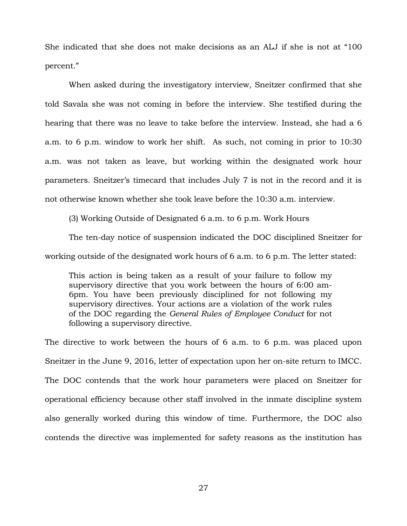She indicated that she does not make decisions as an ALJ if she is not at "100 percent."

When asked during the investigatory interview, Sneitzer confirmed that she told Savala she was not coming in before the interview. She testified during the hearing that there was no leave to take before the interview. Instead, she had a 6 a.m. to 6 p.m. window to work her shift. As such, not coming in prior to 10:30 a.m. was not taken as leave, but working within the designated work hour parameters. Sneitzer's timecard that includes July 7 is not in the record and it is not otherwise known whether she took leave before the 10:30 a.m. interview.

(3) Working Outside of Designated 6 a.m. to 6 p.m. Work Hours

The ten-day notice of suspension indicated the DOC disciplined Sneitzer for working outside of the designated work hours of 6 a.m. to 6 p.m. The letter stated:

This action is being taken as a result of your failure to follow my supervisory directive that you work between the hours of 6:00 am-6pm. You have been previously disciplined for not following my supervisory directives. Your actions are a violation of the work rules of the DOC regarding the *General Rules of Employee Conduct* for not following a supervisory directive.

The directive to work between the hours of 6 a.m. to 6 p.m. was placed upon Sneitzer in the June 9, 2016, letter of expectation upon her on-site return to IMCC. The DOC contends that the work hour parameters were placed on Sneitzer for operational efficiency because other staff involved in the inmate discipline system also generally worked during this window of time. Furthermore, the DOC also contends the directive was implemented for safety reasons as the institution has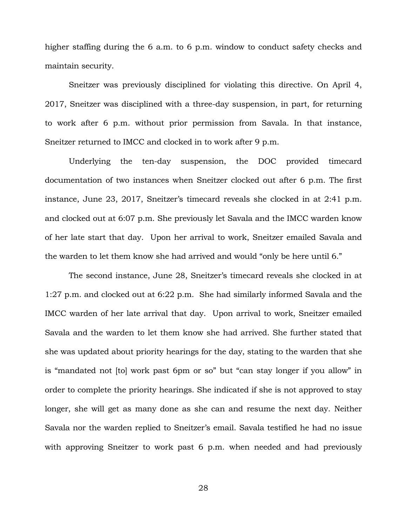higher staffing during the 6 a.m. to 6 p.m. window to conduct safety checks and maintain security.

Sneitzer was previously disciplined for violating this directive. On April 4, 2017, Sneitzer was disciplined with a three-day suspension, in part, for returning to work after 6 p.m. without prior permission from Savala. In that instance, Sneitzer returned to IMCC and clocked in to work after 9 p.m.

Underlying the ten-day suspension, the DOC provided timecard documentation of two instances when Sneitzer clocked out after 6 p.m. The first instance, June 23, 2017, Sneitzer's timecard reveals she clocked in at 2:41 p.m. and clocked out at 6:07 p.m. She previously let Savala and the IMCC warden know of her late start that day. Upon her arrival to work, Sneitzer emailed Savala and the warden to let them know she had arrived and would "only be here until 6."

The second instance, June 28, Sneitzer's timecard reveals she clocked in at 1:27 p.m. and clocked out at 6:22 p.m. She had similarly informed Savala and the IMCC warden of her late arrival that day. Upon arrival to work, Sneitzer emailed Savala and the warden to let them know she had arrived. She further stated that she was updated about priority hearings for the day, stating to the warden that she is "mandated not [to] work past 6pm or so" but "can stay longer if you allow" in order to complete the priority hearings. She indicated if she is not approved to stay longer, she will get as many done as she can and resume the next day. Neither Savala nor the warden replied to Sneitzer's email. Savala testified he had no issue with approving Sneitzer to work past 6 p.m. when needed and had previously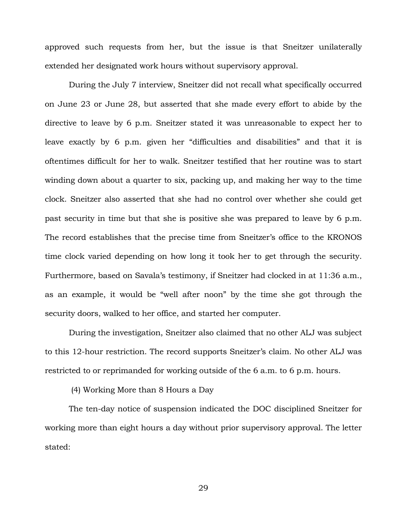approved such requests from her, but the issue is that Sneitzer unilaterally extended her designated work hours without supervisory approval.

During the July 7 interview, Sneitzer did not recall what specifically occurred on June 23 or June 28, but asserted that she made every effort to abide by the directive to leave by 6 p.m. Sneitzer stated it was unreasonable to expect her to leave exactly by 6 p.m. given her "difficulties and disabilities" and that it is oftentimes difficult for her to walk. Sneitzer testified that her routine was to start winding down about a quarter to six, packing up, and making her way to the time clock. Sneitzer also asserted that she had no control over whether she could get past security in time but that she is positive she was prepared to leave by 6 p.m. The record establishes that the precise time from Sneitzer's office to the KRONOS time clock varied depending on how long it took her to get through the security. Furthermore, based on Savala's testimony, if Sneitzer had clocked in at 11:36 a.m., as an example, it would be "well after noon" by the time she got through the security doors, walked to her office, and started her computer.

During the investigation, Sneitzer also claimed that no other ALJ was subject to this 12-hour restriction. The record supports Sneitzer's claim. No other ALJ was restricted to or reprimanded for working outside of the 6 a.m. to 6 p.m. hours.

(4) Working More than 8 Hours a Day

The ten-day notice of suspension indicated the DOC disciplined Sneitzer for working more than eight hours a day without prior supervisory approval. The letter stated: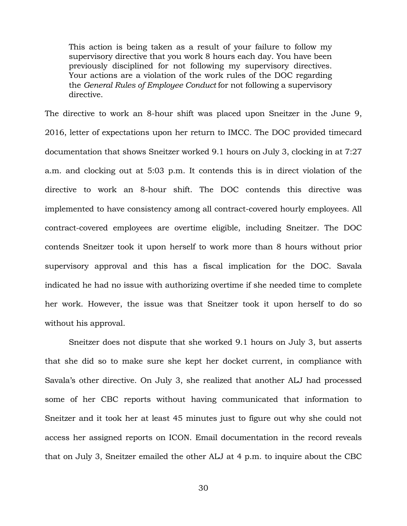This action is being taken as a result of your failure to follow my supervisory directive that you work 8 hours each day. You have been previously disciplined for not following my supervisory directives. Your actions are a violation of the work rules of the DOC regarding the *General Rules of Employee Conduct* for not following a supervisory directive.

The directive to work an 8-hour shift was placed upon Sneitzer in the June 9, 2016, letter of expectations upon her return to IMCC. The DOC provided timecard documentation that shows Sneitzer worked 9.1 hours on July 3, clocking in at 7:27 a.m. and clocking out at 5:03 p.m. It contends this is in direct violation of the directive to work an 8-hour shift. The DOC contends this directive was implemented to have consistency among all contract-covered hourly employees. All contract-covered employees are overtime eligible, including Sneitzer. The DOC contends Sneitzer took it upon herself to work more than 8 hours without prior supervisory approval and this has a fiscal implication for the DOC. Savala indicated he had no issue with authorizing overtime if she needed time to complete her work. However, the issue was that Sneitzer took it upon herself to do so without his approval.

Sneitzer does not dispute that she worked 9.1 hours on July 3, but asserts that she did so to make sure she kept her docket current, in compliance with Savala's other directive. On July 3, she realized that another ALJ had processed some of her CBC reports without having communicated that information to Sneitzer and it took her at least 45 minutes just to figure out why she could not access her assigned reports on ICON. Email documentation in the record reveals that on July 3, Sneitzer emailed the other ALJ at 4 p.m. to inquire about the CBC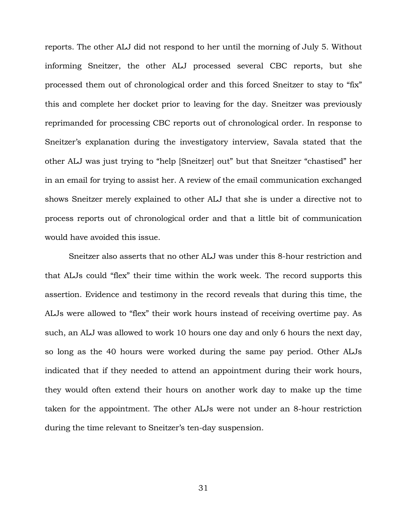reports. The other ALJ did not respond to her until the morning of July 5. Without informing Sneitzer, the other ALJ processed several CBC reports, but she processed them out of chronological order and this forced Sneitzer to stay to "fix" this and complete her docket prior to leaving for the day. Sneitzer was previously reprimanded for processing CBC reports out of chronological order. In response to Sneitzer's explanation during the investigatory interview, Savala stated that the other ALJ was just trying to "help [Sneitzer] out" but that Sneitzer "chastised" her in an email for trying to assist her. A review of the email communication exchanged shows Sneitzer merely explained to other ALJ that she is under a directive not to process reports out of chronological order and that a little bit of communication would have avoided this issue.

Sneitzer also asserts that no other ALJ was under this 8-hour restriction and that ALJs could "flex" their time within the work week. The record supports this assertion. Evidence and testimony in the record reveals that during this time, the ALJs were allowed to "flex" their work hours instead of receiving overtime pay. As such, an ALJ was allowed to work 10 hours one day and only 6 hours the next day, so long as the 40 hours were worked during the same pay period. Other ALJs indicated that if they needed to attend an appointment during their work hours, they would often extend their hours on another work day to make up the time taken for the appointment. The other ALJs were not under an 8-hour restriction during the time relevant to Sneitzer's ten-day suspension.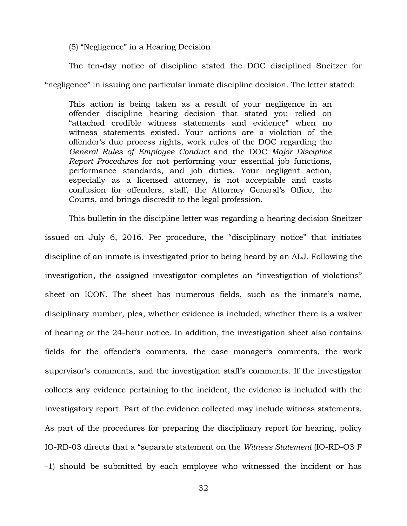(5) "Negligence" in a Hearing Decision

The ten-day notice of discipline stated the DOC disciplined Sneitzer for "negligence" in issuing one particular inmate discipline decision. The letter stated:

This action is being taken as a result of your negligence in an offender discipline hearing decision that stated you relied on "attached credible witness statements and evidence" when no witness statements existed. Your actions are a violation of the offender's due process rights, work rules of the DOC regarding the *General Rules of Employee Conduct* and the DOC *Major Discipline Report Procedures* for not performing your essential job functions, performance standards, and job duties. Your negligent action, especially as a licensed attorney, is not acceptable and casts confusion for offenders, staff, the Attorney General's Office, the Courts, and brings discredit to the legal profession.

This bulletin in the discipline letter was regarding a hearing decision Sneitzer issued on July 6, 2016. Per procedure, the "disciplinary notice" that initiates discipline of an inmate is investigated prior to being heard by an ALJ. Following the investigation, the assigned investigator completes an "investigation of violations" sheet on ICON. The sheet has numerous fields, such as the inmate's name, disciplinary number, plea, whether evidence is included, whether there is a waiver of hearing or the 24-hour notice. In addition, the investigation sheet also contains fields for the offender's comments, the case manager's comments, the work supervisor's comments, and the investigation staff's comments. If the investigator collects any evidence pertaining to the incident, the evidence is included with the investigatory report. Part of the evidence collected may include witness statements. As part of the procedures for preparing the disciplinary report for hearing, policy IO-RD-03 directs that a "separate statement on the *Witness Statement* (IO-RD-O3 F -1) should be submitted by each employee who witnessed the incident or has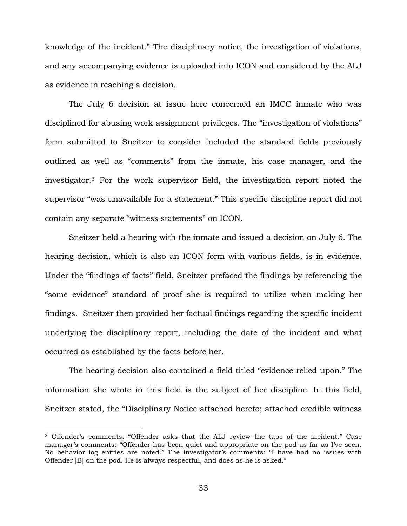knowledge of the incident." The disciplinary notice, the investigation of violations, and any accompanying evidence is uploaded into ICON and considered by the ALJ as evidence in reaching a decision.

The July 6 decision at issue here concerned an IMCC inmate who was disciplined for abusing work assignment privileges. The "investigation of violations" form submitted to Sneitzer to consider included the standard fields previously outlined as well as "comments" from the inmate, his case manager, and the investigator.<sup>3</sup> For the work supervisor field, the investigation report noted the supervisor "was unavailable for a statement." This specific discipline report did not contain any separate "witness statements" on ICON.

Sneitzer held a hearing with the inmate and issued a decision on July 6. The hearing decision, which is also an ICON form with various fields, is in evidence. Under the "findings of facts" field, Sneitzer prefaced the findings by referencing the "some evidence" standard of proof she is required to utilize when making her findings. Sneitzer then provided her factual findings regarding the specific incident underlying the disciplinary report, including the date of the incident and what occurred as established by the facts before her.

The hearing decision also contained a field titled "evidence relied upon." The information she wrote in this field is the subject of her discipline. In this field, Sneitzer stated, the "Disciplinary Notice attached hereto; attached credible witness

÷.

<sup>3</sup> Offender's comments: "Offender asks that the ALJ review the tape of the incident." Case manager's comments: "Offender has been quiet and appropriate on the pod as far as I've seen. No behavior log entries are noted." The investigator's comments: "I have had no issues with Offender [B] on the pod. He is always respectful, and does as he is asked."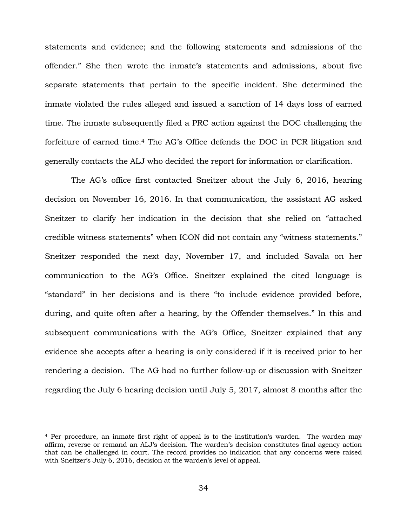statements and evidence; and the following statements and admissions of the offender." She then wrote the inmate's statements and admissions, about five separate statements that pertain to the specific incident. She determined the inmate violated the rules alleged and issued a sanction of 14 days loss of earned time. The inmate subsequently filed a PRC action against the DOC challenging the forfeiture of earned time.<sup>4</sup> The AG's Office defends the DOC in PCR litigation and generally contacts the ALJ who decided the report for information or clarification.

The AG's office first contacted Sneitzer about the July 6, 2016, hearing decision on November 16, 2016. In that communication, the assistant AG asked Sneitzer to clarify her indication in the decision that she relied on "attached credible witness statements" when ICON did not contain any "witness statements." Sneitzer responded the next day, November 17, and included Savala on her communication to the AG's Office. Sneitzer explained the cited language is "standard" in her decisions and is there "to include evidence provided before, during, and quite often after a hearing, by the Offender themselves." In this and subsequent communications with the AG's Office, Sneitzer explained that any evidence she accepts after a hearing is only considered if it is received prior to her rendering a decision. The AG had no further follow-up or discussion with Sneitzer regarding the July 6 hearing decision until July 5, 2017, almost 8 months after the

÷.

<sup>4</sup> Per procedure, an inmate first right of appeal is to the institution's warden. The warden may affirm, reverse or remand an ALJ's decision. The warden's decision constitutes final agency action that can be challenged in court. The record provides no indication that any concerns were raised with Sneitzer's July 6, 2016, decision at the warden's level of appeal.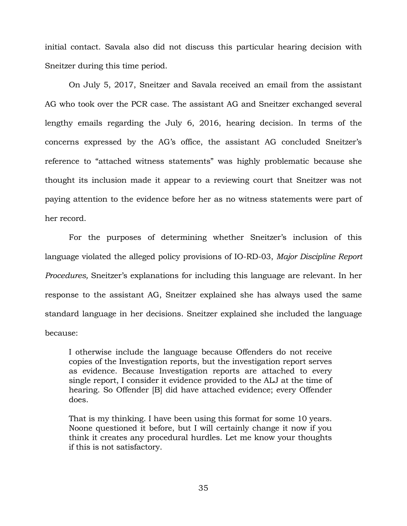initial contact. Savala also did not discuss this particular hearing decision with Sneitzer during this time period.

On July 5, 2017, Sneitzer and Savala received an email from the assistant AG who took over the PCR case. The assistant AG and Sneitzer exchanged several lengthy emails regarding the July 6, 2016, hearing decision. In terms of the concerns expressed by the AG's office, the assistant AG concluded Sneitzer's reference to "attached witness statements" was highly problematic because she thought its inclusion made it appear to a reviewing court that Sneitzer was not paying attention to the evidence before her as no witness statements were part of her record.

For the purposes of determining whether Sneitzer's inclusion of this language violated the alleged policy provisions of IO-RD-03, *Major Discipline Report Procedures,* Sneitzer's explanations for including this language are relevant. In her response to the assistant AG, Sneitzer explained she has always used the same standard language in her decisions. Sneitzer explained she included the language because:

I otherwise include the language because Offenders do not receive copies of the Investigation reports, but the investigation report serves as evidence. Because Investigation reports are attached to every single report, I consider it evidence provided to the ALJ at the time of hearing. So Offender [B] did have attached evidence; every Offender does.

That is my thinking. I have been using this format for some 10 years. Noone questioned it before, but I will certainly change it now if you think it creates any procedural hurdles. Let me know your thoughts if this is not satisfactory.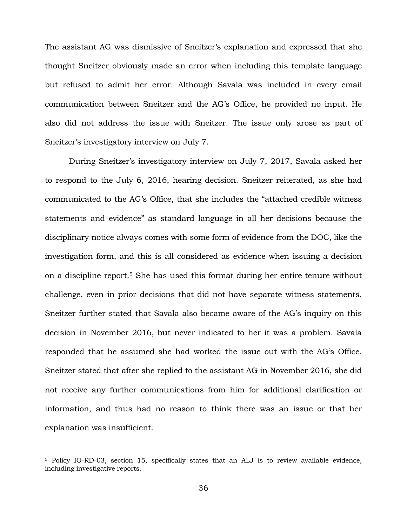The assistant AG was dismissive of Sneitzer's explanation and expressed that she thought Sneitzer obviously made an error when including this template language but refused to admit her error. Although Savala was included in every email communication between Sneitzer and the AG's Office, he provided no input. He also did not address the issue with Sneitzer. The issue only arose as part of Sneitzer's investigatory interview on July 7.

During Sneitzer's investigatory interview on July 7, 2017, Savala asked her to respond to the July 6, 2016, hearing decision. Sneitzer reiterated, as she had communicated to the AG's Office, that she includes the "attached credible witness statements and evidence" as standard language in all her decisions because the disciplinary notice always comes with some form of evidence from the DOC, like the investigation form, and this is all considered as evidence when issuing a decision on a discipline report.<sup>5</sup> She has used this format during her entire tenure without challenge, even in prior decisions that did not have separate witness statements. Sneitzer further stated that Savala also became aware of the AG's inquiry on this decision in November 2016, but never indicated to her it was a problem. Savala responded that he assumed she had worked the issue out with the AG's Office. Sneitzer stated that after she replied to the assistant AG in November 2016, she did not receive any further communications from him for additional clarification or information, and thus had no reason to think there was an issue or that her explanation was insufficient.

÷.

<sup>&</sup>lt;sup>5</sup> Policy IO-RD-03, section 15, specifically states that an ALJ is to review available evidence, including investigative reports.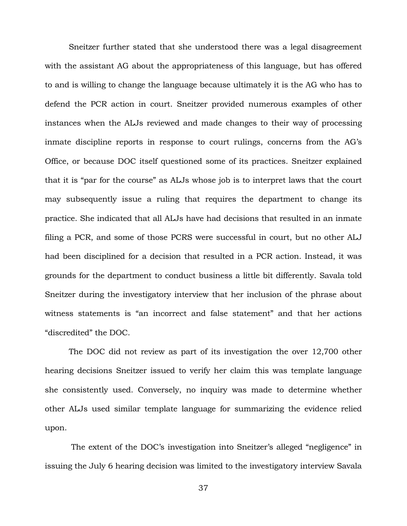Sneitzer further stated that she understood there was a legal disagreement with the assistant AG about the appropriateness of this language, but has offered to and is willing to change the language because ultimately it is the AG who has to defend the PCR action in court. Sneitzer provided numerous examples of other instances when the ALJs reviewed and made changes to their way of processing inmate discipline reports in response to court rulings, concerns from the AG's Office, or because DOC itself questioned some of its practices. Sneitzer explained that it is "par for the course" as ALJs whose job is to interpret laws that the court may subsequently issue a ruling that requires the department to change its practice. She indicated that all ALJs have had decisions that resulted in an inmate filing a PCR, and some of those PCRS were successful in court, but no other ALJ had been disciplined for a decision that resulted in a PCR action. Instead, it was grounds for the department to conduct business a little bit differently. Savala told Sneitzer during the investigatory interview that her inclusion of the phrase about witness statements is "an incorrect and false statement" and that her actions "discredited" the DOC.

The DOC did not review as part of its investigation the over 12,700 other hearing decisions Sneitzer issued to verify her claim this was template language she consistently used. Conversely, no inquiry was made to determine whether other ALJs used similar template language for summarizing the evidence relied upon.

The extent of the DOC's investigation into Sneitzer's alleged "negligence" in issuing the July 6 hearing decision was limited to the investigatory interview Savala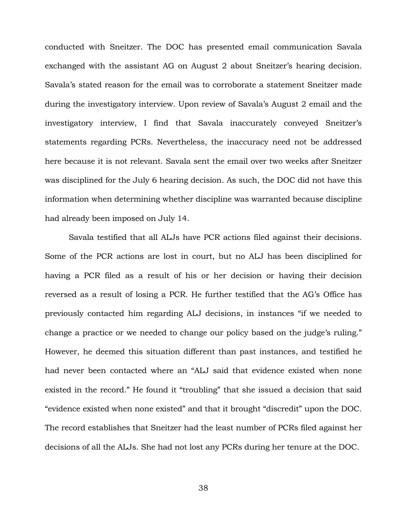conducted with Sneitzer. The DOC has presented email communication Savala exchanged with the assistant AG on August 2 about Sneitzer's hearing decision. Savala's stated reason for the email was to corroborate a statement Sneitzer made during the investigatory interview. Upon review of Savala's August 2 email and the investigatory interview, I find that Savala inaccurately conveyed Sneitzer's statements regarding PCRs. Nevertheless, the inaccuracy need not be addressed here because it is not relevant. Savala sent the email over two weeks after Sneitzer was disciplined for the July 6 hearing decision. As such, the DOC did not have this information when determining whether discipline was warranted because discipline had already been imposed on July 14.

Savala testified that all ALJs have PCR actions filed against their decisions. Some of the PCR actions are lost in court, but no ALJ has been disciplined for having a PCR filed as a result of his or her decision or having their decision reversed as a result of losing a PCR. He further testified that the AG's Office has previously contacted him regarding ALJ decisions, in instances "if we needed to change a practice or we needed to change our policy based on the judge's ruling." However, he deemed this situation different than past instances, and testified he had never been contacted where an "ALJ said that evidence existed when none existed in the record." He found it "troubling" that she issued a decision that said "evidence existed when none existed" and that it brought "discredit" upon the DOC. The record establishes that Sneitzer had the least number of PCRs filed against her decisions of all the ALJs. She had not lost any PCRs during her tenure at the DOC.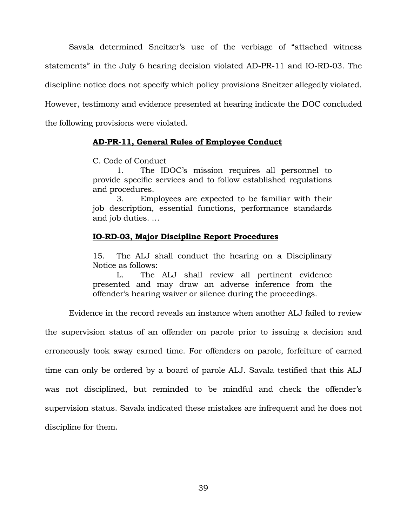Savala determined Sneitzer's use of the verbiage of "attached witness statements" in the July 6 hearing decision violated AD-PR-11 and IO-RD-03. The discipline notice does not specify which policy provisions Sneitzer allegedly violated. However, testimony and evidence presented at hearing indicate the DOC concluded the following provisions were violated.

# **AD-PR-11, General Rules of Employee Conduct**

C. Code of Conduct

1. The IDOC's mission requires all personnel to provide specific services and to follow established regulations and procedures.

3. Employees are expected to be familiar with their job description, essential functions, performance standards and job duties. …

#### **IO-RD-03, Major Discipline Report Procedures**

15. The ALJ shall conduct the hearing on a Disciplinary Notice as follows:

L. The ALJ shall review all pertinent evidence presented and may draw an adverse inference from the offender's hearing waiver or silence during the proceedings.

Evidence in the record reveals an instance when another ALJ failed to review

the supervision status of an offender on parole prior to issuing a decision and erroneously took away earned time. For offenders on parole, forfeiture of earned time can only be ordered by a board of parole ALJ. Savala testified that this ALJ was not disciplined, but reminded to be mindful and check the offender's supervision status. Savala indicated these mistakes are infrequent and he does not discipline for them.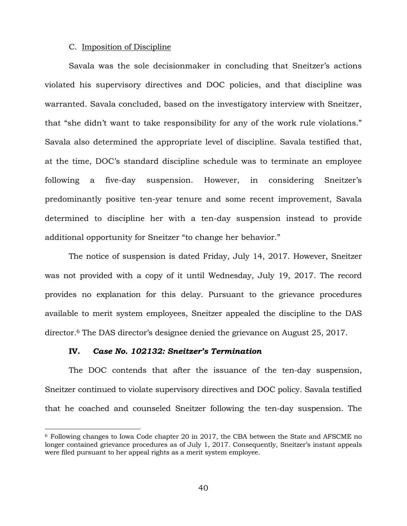#### C. Imposition of Discipline

Savala was the sole decisionmaker in concluding that Sneitzer's actions violated his supervisory directives and DOC policies, and that discipline was warranted. Savala concluded, based on the investigatory interview with Sneitzer, that "she didn't want to take responsibility for any of the work rule violations." Savala also determined the appropriate level of discipline. Savala testified that, at the time, DOC's standard discipline schedule was to terminate an employee following a five-day suspension. However, in considering Sneitzer's predominantly positive ten-year tenure and some recent improvement, Savala determined to discipline her with a ten-day suspension instead to provide additional opportunity for Sneitzer "to change her behavior."

The notice of suspension is dated Friday, July 14, 2017. However, Sneitzer was not provided with a copy of it until Wednesday, July 19, 2017. The record provides no explanation for this delay. Pursuant to the grievance procedures available to merit system employees, Sneitzer appealed the discipline to the DAS director. <sup>6</sup> The DAS director's designee denied the grievance on August 25, 2017.

### **IV.** *Case No. 102132: Sneitzer's Termination*

÷.

The DOC contends that after the issuance of the ten-day suspension, Sneitzer continued to violate supervisory directives and DOC policy. Savala testified that he coached and counseled Sneitzer following the ten-day suspension. The

<sup>6</sup> Following changes to Iowa Code chapter 20 in 2017, the CBA between the State and AFSCME no longer contained grievance procedures as of July 1, 2017. Consequently, Sneitzer's instant appeals were filed pursuant to her appeal rights as a merit system employee.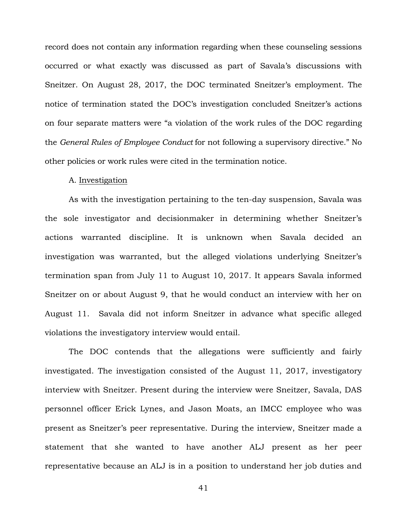record does not contain any information regarding when these counseling sessions occurred or what exactly was discussed as part of Savala's discussions with Sneitzer. On August 28, 2017, the DOC terminated Sneitzer's employment. The notice of termination stated the DOC's investigation concluded Sneitzer's actions on four separate matters were "a violation of the work rules of the DOC regarding the *General Rules of Employee Conduct* for not following a supervisory directive." No other policies or work rules were cited in the termination notice.

#### A. Investigation

As with the investigation pertaining to the ten-day suspension, Savala was the sole investigator and decisionmaker in determining whether Sneitzer's actions warranted discipline. It is unknown when Savala decided an investigation was warranted, but the alleged violations underlying Sneitzer's termination span from July 11 to August 10, 2017. It appears Savala informed Sneitzer on or about August 9, that he would conduct an interview with her on August 11. Savala did not inform Sneitzer in advance what specific alleged violations the investigatory interview would entail.

The DOC contends that the allegations were sufficiently and fairly investigated. The investigation consisted of the August 11, 2017, investigatory interview with Sneitzer. Present during the interview were Sneitzer, Savala, DAS personnel officer Erick Lynes, and Jason Moats, an IMCC employee who was present as Sneitzer's peer representative. During the interview, Sneitzer made a statement that she wanted to have another ALJ present as her peer representative because an ALJ is in a position to understand her job duties and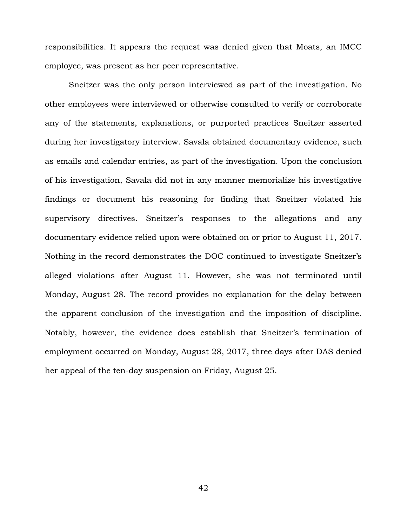responsibilities. It appears the request was denied given that Moats, an IMCC employee, was present as her peer representative.

Sneitzer was the only person interviewed as part of the investigation. No other employees were interviewed or otherwise consulted to verify or corroborate any of the statements, explanations, or purported practices Sneitzer asserted during her investigatory interview. Savala obtained documentary evidence, such as emails and calendar entries, as part of the investigation. Upon the conclusion of his investigation, Savala did not in any manner memorialize his investigative findings or document his reasoning for finding that Sneitzer violated his supervisory directives. Sneitzer's responses to the allegations and any documentary evidence relied upon were obtained on or prior to August 11, 2017. Nothing in the record demonstrates the DOC continued to investigate Sneitzer's alleged violations after August 11. However, she was not terminated until Monday, August 28. The record provides no explanation for the delay between the apparent conclusion of the investigation and the imposition of discipline. Notably, however, the evidence does establish that Sneitzer's termination of employment occurred on Monday, August 28, 2017, three days after DAS denied her appeal of the ten-day suspension on Friday, August 25.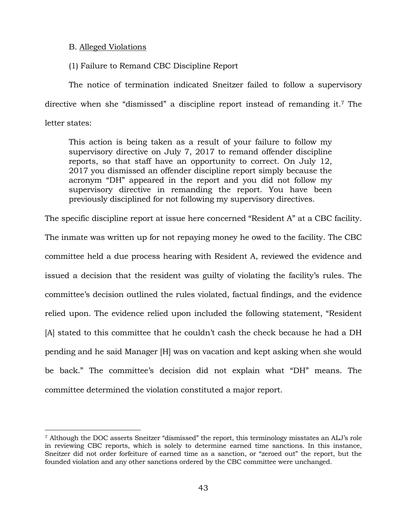# B. Alleged Violations

(1) Failure to Remand CBC Discipline Report

The notice of termination indicated Sneitzer failed to follow a supervisory directive when she "dismissed" a discipline report instead of remanding it.<sup>7</sup> The letter states:

This action is being taken as a result of your failure to follow my supervisory directive on July 7, 2017 to remand offender discipline reports, so that staff have an opportunity to correct. On July 12, 2017 you dismissed an offender discipline report simply because the acronym "DH" appeared in the report and you did not follow my supervisory directive in remanding the report. You have been previously disciplined for not following my supervisory directives.

The specific discipline report at issue here concerned "Resident A" at a CBC facility.

The inmate was written up for not repaying money he owed to the facility. The CBC committee held a due process hearing with Resident A, reviewed the evidence and issued a decision that the resident was guilty of violating the facility's rules. The committee's decision outlined the rules violated, factual findings, and the evidence relied upon. The evidence relied upon included the following statement, "Resident [A] stated to this committee that he couldn't cash the check because he had a DH pending and he said Manager [H] was on vacation and kept asking when she would be back." The committee's decision did not explain what "DH" means. The committee determined the violation constituted a major report.

<sup>7</sup> Although the DOC asserts Sneitzer "dismissed" the report, this terminology misstates an ALJ's role in reviewing CBC reports, which is solely to determine earned time sanctions. In this instance, Sneitzer did not order forfeiture of earned time as a sanction, or "zeroed out" the report, but the founded violation and any other sanctions ordered by the CBC committee were unchanged.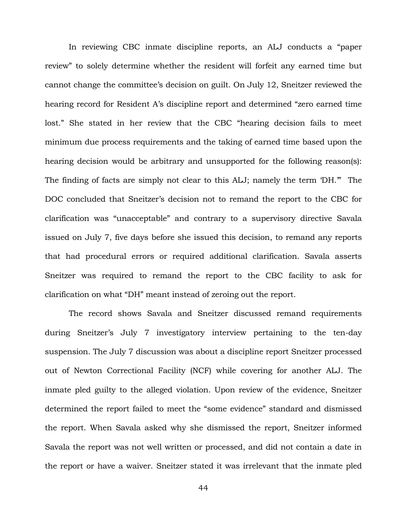In reviewing CBC inmate discipline reports, an ALJ conducts a "paper review" to solely determine whether the resident will forfeit any earned time but cannot change the committee's decision on guilt. On July 12, Sneitzer reviewed the hearing record for Resident A's discipline report and determined "zero earned time lost." She stated in her review that the CBC "hearing decision fails to meet minimum due process requirements and the taking of earned time based upon the hearing decision would be arbitrary and unsupported for the following reason(s): The finding of facts are simply not clear to this ALJ; namely the term 'DH.'" The DOC concluded that Sneitzer's decision not to remand the report to the CBC for clarification was "unacceptable" and contrary to a supervisory directive Savala issued on July 7, five days before she issued this decision, to remand any reports that had procedural errors or required additional clarification. Savala asserts Sneitzer was required to remand the report to the CBC facility to ask for clarification on what "DH" meant instead of zeroing out the report.

The record shows Savala and Sneitzer discussed remand requirements during Sneitzer's July 7 investigatory interview pertaining to the ten-day suspension. The July 7 discussion was about a discipline report Sneitzer processed out of Newton Correctional Facility (NCF) while covering for another ALJ. The inmate pled guilty to the alleged violation. Upon review of the evidence, Sneitzer determined the report failed to meet the "some evidence" standard and dismissed the report. When Savala asked why she dismissed the report, Sneitzer informed Savala the report was not well written or processed, and did not contain a date in the report or have a waiver. Sneitzer stated it was irrelevant that the inmate pled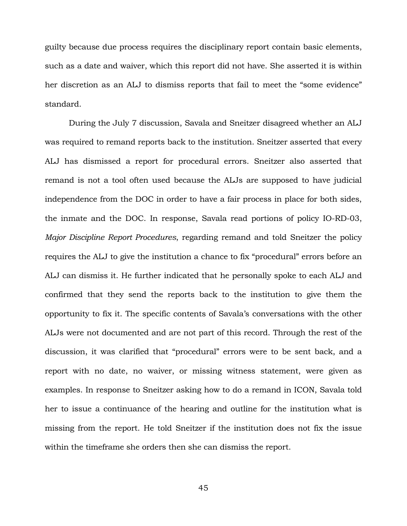guilty because due process requires the disciplinary report contain basic elements, such as a date and waiver, which this report did not have. She asserted it is within her discretion as an ALJ to dismiss reports that fail to meet the "some evidence" standard.

During the July 7 discussion, Savala and Sneitzer disagreed whether an ALJ was required to remand reports back to the institution. Sneitzer asserted that every ALJ has dismissed a report for procedural errors. Sneitzer also asserted that remand is not a tool often used because the ALJs are supposed to have judicial independence from the DOC in order to have a fair process in place for both sides, the inmate and the DOC. In response, Savala read portions of policy IO-RD-03, *Major Discipline Report Procedures*, regarding remand and told Sneitzer the policy requires the ALJ to give the institution a chance to fix "procedural" errors before an ALJ can dismiss it. He further indicated that he personally spoke to each ALJ and confirmed that they send the reports back to the institution to give them the opportunity to fix it. The specific contents of Savala's conversations with the other ALJs were not documented and are not part of this record. Through the rest of the discussion, it was clarified that "procedural" errors were to be sent back, and a report with no date, no waiver, or missing witness statement, were given as examples. In response to Sneitzer asking how to do a remand in ICON, Savala told her to issue a continuance of the hearing and outline for the institution what is missing from the report. He told Sneitzer if the institution does not fix the issue within the timeframe she orders then she can dismiss the report.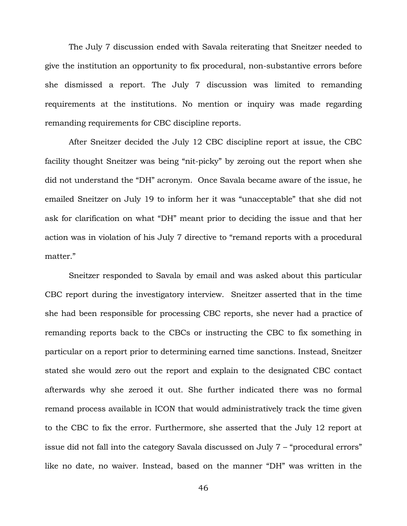The July 7 discussion ended with Savala reiterating that Sneitzer needed to give the institution an opportunity to fix procedural, non-substantive errors before she dismissed a report. The July 7 discussion was limited to remanding requirements at the institutions. No mention or inquiry was made regarding remanding requirements for CBC discipline reports.

After Sneitzer decided the July 12 CBC discipline report at issue, the CBC facility thought Sneitzer was being "nit-picky" by zeroing out the report when she did not understand the "DH" acronym. Once Savala became aware of the issue, he emailed Sneitzer on July 19 to inform her it was "unacceptable" that she did not ask for clarification on what "DH" meant prior to deciding the issue and that her action was in violation of his July 7 directive to "remand reports with a procedural matter."

Sneitzer responded to Savala by email and was asked about this particular CBC report during the investigatory interview. Sneitzer asserted that in the time she had been responsible for processing CBC reports, she never had a practice of remanding reports back to the CBCs or instructing the CBC to fix something in particular on a report prior to determining earned time sanctions. Instead, Sneitzer stated she would zero out the report and explain to the designated CBC contact afterwards why she zeroed it out. She further indicated there was no formal remand process available in ICON that would administratively track the time given to the CBC to fix the error. Furthermore, she asserted that the July 12 report at issue did not fall into the category Savala discussed on July 7 – "procedural errors" like no date, no waiver. Instead, based on the manner "DH" was written in the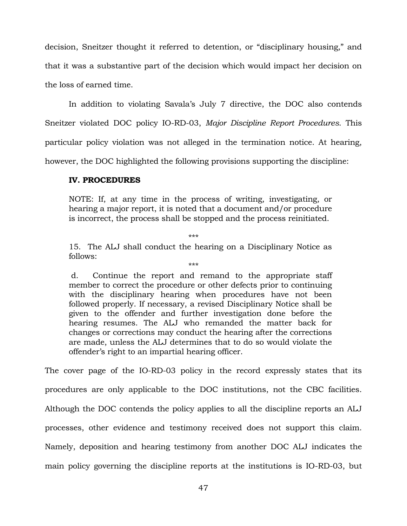decision, Sneitzer thought it referred to detention, or "disciplinary housing," and that it was a substantive part of the decision which would impact her decision on the loss of earned time.

In addition to violating Savala's July 7 directive, the DOC also contends Sneitzer violated DOC policy IO-RD-03, *Major Discipline Report Procedures*. This particular policy violation was not alleged in the termination notice. At hearing, however, the DOC highlighted the following provisions supporting the discipline:

# **IV. PROCEDURES**

NOTE: If, at any time in the process of writing, investigating, or hearing a major report, it is noted that a document and/or procedure is incorrect, the process shall be stopped and the process reinitiated.

\*\*\*

15. The ALJ shall conduct the hearing on a Disciplinary Notice as follows: \*\*\*

d. Continue the report and remand to the appropriate staff member to correct the procedure or other defects prior to continuing with the disciplinary hearing when procedures have not been followed properly. If necessary, a revised Disciplinary Notice shall be given to the offender and further investigation done before the hearing resumes. The ALJ who remanded the matter back for changes or corrections may conduct the hearing after the corrections are made, unless the ALJ determines that to do so would violate the offender's right to an impartial hearing officer.

The cover page of the IO-RD-03 policy in the record expressly states that its procedures are only applicable to the DOC institutions, not the CBC facilities. Although the DOC contends the policy applies to all the discipline reports an ALJ processes, other evidence and testimony received does not support this claim. Namely, deposition and hearing testimony from another DOC ALJ indicates the main policy governing the discipline reports at the institutions is IO-RD-03, but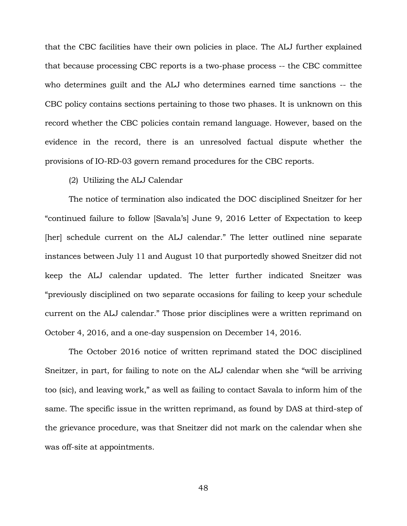that the CBC facilities have their own policies in place. The ALJ further explained that because processing CBC reports is a two-phase process -- the CBC committee who determines guilt and the ALJ who determines earned time sanctions -- the CBC policy contains sections pertaining to those two phases. It is unknown on this record whether the CBC policies contain remand language. However, based on the evidence in the record, there is an unresolved factual dispute whether the provisions of IO-RD-03 govern remand procedures for the CBC reports.

# (2) Utilizing the ALJ Calendar

The notice of termination also indicated the DOC disciplined Sneitzer for her "continued failure to follow [Savala's] June 9, 2016 Letter of Expectation to keep [her] schedule current on the ALJ calendar." The letter outlined nine separate instances between July 11 and August 10 that purportedly showed Sneitzer did not keep the ALJ calendar updated. The letter further indicated Sneitzer was "previously disciplined on two separate occasions for failing to keep your schedule current on the ALJ calendar." Those prior disciplines were a written reprimand on October 4, 2016, and a one-day suspension on December 14, 2016.

The October 2016 notice of written reprimand stated the DOC disciplined Sneitzer, in part, for failing to note on the ALJ calendar when she "will be arriving too (sic), and leaving work," as well as failing to contact Savala to inform him of the same. The specific issue in the written reprimand, as found by DAS at third-step of the grievance procedure, was that Sneitzer did not mark on the calendar when she was off-site at appointments.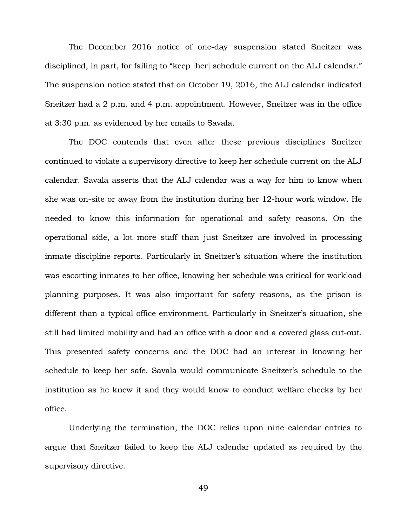The December 2016 notice of one-day suspension stated Sneitzer was disciplined, in part, for failing to "keep [her] schedule current on the ALJ calendar." The suspension notice stated that on October 19, 2016, the ALJ calendar indicated Sneitzer had a 2 p.m. and 4 p.m. appointment. However, Sneitzer was in the office at 3:30 p.m. as evidenced by her emails to Savala.

The DOC contends that even after these previous disciplines Sneitzer continued to violate a supervisory directive to keep her schedule current on the ALJ calendar. Savala asserts that the ALJ calendar was a way for him to know when she was on-site or away from the institution during her 12-hour work window. He needed to know this information for operational and safety reasons. On the operational side, a lot more staff than just Sneitzer are involved in processing inmate discipline reports. Particularly in Sneitzer's situation where the institution was escorting inmates to her office, knowing her schedule was critical for workload planning purposes. It was also important for safety reasons, as the prison is different than a typical office environment. Particularly in Sneitzer's situation, she still had limited mobility and had an office with a door and a covered glass cut-out. This presented safety concerns and the DOC had an interest in knowing her schedule to keep her safe. Savala would communicate Sneitzer's schedule to the institution as he knew it and they would know to conduct welfare checks by her office.

Underlying the termination, the DOC relies upon nine calendar entries to argue that Sneitzer failed to keep the ALJ calendar updated as required by the supervisory directive.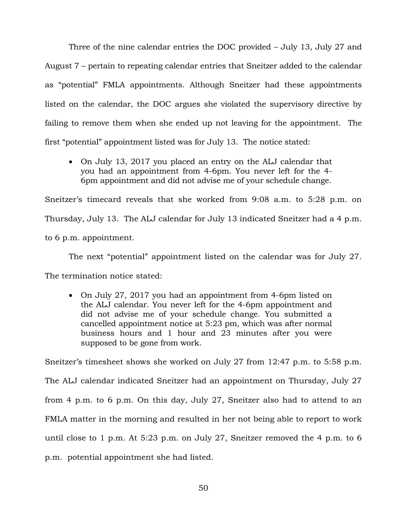Three of the nine calendar entries the DOC provided – July 13, July 27 and August 7 – pertain to repeating calendar entries that Sneitzer added to the calendar as "potential" FMLA appointments. Although Sneitzer had these appointments listed on the calendar, the DOC argues she violated the supervisory directive by failing to remove them when she ended up not leaving for the appointment. The first "potential" appointment listed was for July 13. The notice stated:

• On July 13, 2017 you placed an entry on the ALJ calendar that you had an appointment from 4-6pm. You never left for the 4- 6pm appointment and did not advise me of your schedule change.

Sneitzer's timecard reveals that she worked from 9:08 a.m. to 5:28 p.m. on Thursday, July 13. The ALJ calendar for July 13 indicated Sneitzer had a 4 p.m. to 6 p.m. appointment.

The next "potential" appointment listed on the calendar was for July 27. The termination notice stated:

• On July 27, 2017 you had an appointment from 4-6pm listed on the ALJ calendar. You never left for the 4-6pm appointment and did not advise me of your schedule change. You submitted a cancelled appointment notice at 5:23 pm, which was after normal business hours and 1 hour and 23 minutes after you were supposed to be gone from work.

Sneitzer's timesheet shows she worked on July 27 from 12:47 p.m. to 5:58 p.m. The ALJ calendar indicated Sneitzer had an appointment on Thursday, July 27 from 4 p.m. to 6 p.m. On this day, July 27, Sneitzer also had to attend to an FMLA matter in the morning and resulted in her not being able to report to work until close to 1 p.m. At 5:23 p.m. on July 27, Sneitzer removed the 4 p.m. to 6 p.m. potential appointment she had listed.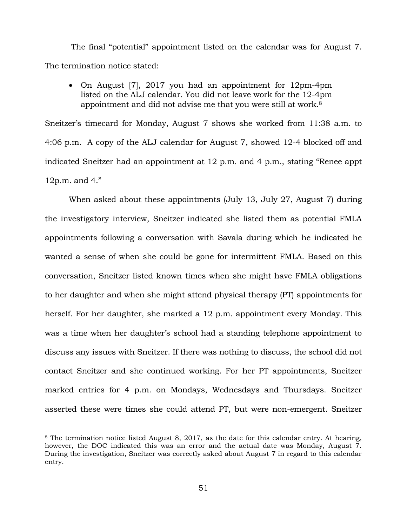The final "potential" appointment listed on the calendar was for August 7. The termination notice stated:

• On August [7], 2017 you had an appointment for 12pm-4pm listed on the ALJ calendar. You did not leave work for the 12-4pm appointment and did not advise me that you were still at work.<sup>8</sup>

Sneitzer's timecard for Monday, August 7 shows she worked from 11:38 a.m. to 4:06 p.m. A copy of the ALJ calendar for August 7, showed 12-4 blocked off and indicated Sneitzer had an appointment at 12 p.m. and 4 p.m., stating "Renee appt 12p.m. and 4."

When asked about these appointments (July 13, July 27, August 7) during the investigatory interview, Sneitzer indicated she listed them as potential FMLA appointments following a conversation with Savala during which he indicated he wanted a sense of when she could be gone for intermittent FMLA. Based on this conversation, Sneitzer listed known times when she might have FMLA obligations to her daughter and when she might attend physical therapy (PT) appointments for herself. For her daughter, she marked a 12 p.m. appointment every Monday. This was a time when her daughter's school had a standing telephone appointment to discuss any issues with Sneitzer. If there was nothing to discuss, the school did not contact Sneitzer and she continued working. For her PT appointments, Sneitzer marked entries for 4 p.m. on Mondays, Wednesdays and Thursdays. Sneitzer asserted these were times she could attend PT, but were non-emergent. Sneitzer

<sup>&</sup>lt;sup>8</sup> The termination notice listed August 8, 2017, as the date for this calendar entry. At hearing, however, the DOC indicated this was an error and the actual date was Monday, August 7. During the investigation, Sneitzer was correctly asked about August 7 in regard to this calendar entry.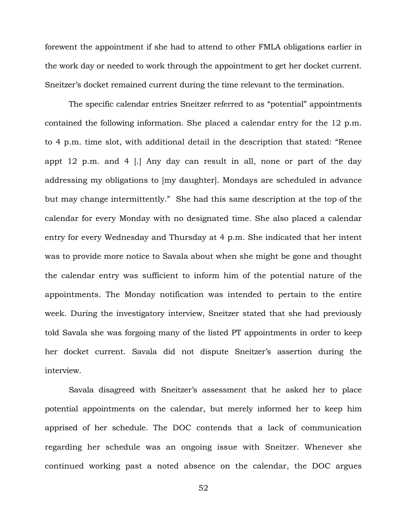forewent the appointment if she had to attend to other FMLA obligations earlier in the work day or needed to work through the appointment to get her docket current. Sneitzer's docket remained current during the time relevant to the termination.

The specific calendar entries Sneitzer referred to as "potential" appointments contained the following information. She placed a calendar entry for the 12 p.m. to 4 p.m. time slot, with additional detail in the description that stated: "Renee appt 12 p.m. and 4 [.] Any day can result in all, none or part of the day addressing my obligations to [my daughter]. Mondays are scheduled in advance but may change intermittently." She had this same description at the top of the calendar for every Monday with no designated time. She also placed a calendar entry for every Wednesday and Thursday at 4 p.m. She indicated that her intent was to provide more notice to Savala about when she might be gone and thought the calendar entry was sufficient to inform him of the potential nature of the appointments. The Monday notification was intended to pertain to the entire week. During the investigatory interview, Sneitzer stated that she had previously told Savala she was forgoing many of the listed PT appointments in order to keep her docket current. Savala did not dispute Sneitzer's assertion during the interview.

Savala disagreed with Sneitzer's assessment that he asked her to place potential appointments on the calendar, but merely informed her to keep him apprised of her schedule. The DOC contends that a lack of communication regarding her schedule was an ongoing issue with Sneitzer. Whenever she continued working past a noted absence on the calendar, the DOC argues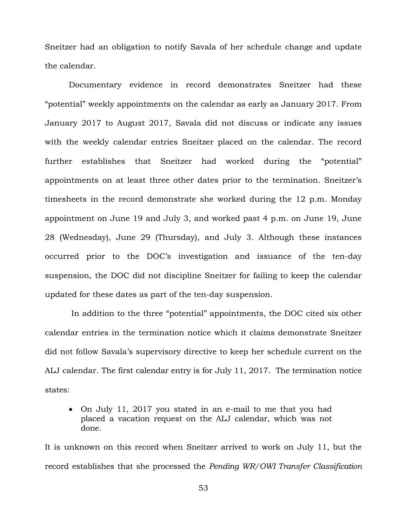Sneitzer had an obligation to notify Savala of her schedule change and update the calendar.

Documentary evidence in record demonstrates Sneitzer had these "potential" weekly appointments on the calendar as early as January 2017. From January 2017 to August 2017, Savala did not discuss or indicate any issues with the weekly calendar entries Sneitzer placed on the calendar. The record further establishes that Sneitzer had worked during the "potential" appointments on at least three other dates prior to the termination. Sneitzer's timesheets in the record demonstrate she worked during the 12 p.m. Monday appointment on June 19 and July 3, and worked past 4 p.m. on June 19, June 28 (Wednesday), June 29 (Thursday), and July 3. Although these instances occurred prior to the DOC's investigation and issuance of the ten-day suspension, the DOC did not discipline Sneitzer for failing to keep the calendar updated for these dates as part of the ten-day suspension.

In addition to the three "potential" appointments, the DOC cited six other calendar entries in the termination notice which it claims demonstrate Sneitzer did not follow Savala's supervisory directive to keep her schedule current on the ALJ calendar. The first calendar entry is for July 11, 2017. The termination notice states:

• On July 11, 2017 you stated in an e-mail to me that you had placed a vacation request on the ALJ calendar, which was not done.

It is unknown on this record when Sneitzer arrived to work on July 11, but the record establishes that she processed the *Pending WR/OWI Transfer Classification*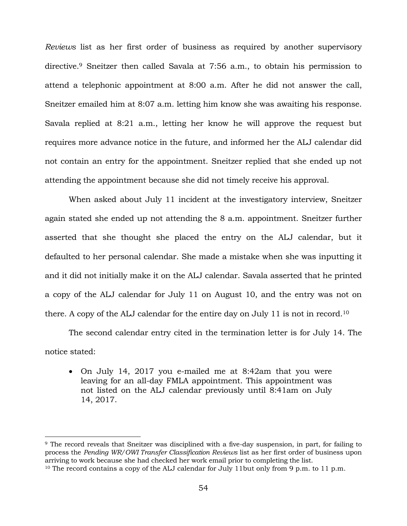*Reviews* list as her first order of business as required by another supervisory directive.<sup>9</sup> Sneitzer then called Savala at 7:56 a.m., to obtain his permission to attend a telephonic appointment at 8:00 a.m. After he did not answer the call, Sneitzer emailed him at 8:07 a.m. letting him know she was awaiting his response. Savala replied at 8:21 a.m., letting her know he will approve the request but requires more advance notice in the future, and informed her the ALJ calendar did not contain an entry for the appointment. Sneitzer replied that she ended up not attending the appointment because she did not timely receive his approval.

When asked about July 11 incident at the investigatory interview, Sneitzer again stated she ended up not attending the 8 a.m. appointment. Sneitzer further asserted that she thought she placed the entry on the ALJ calendar, but it defaulted to her personal calendar. She made a mistake when she was inputting it and it did not initially make it on the ALJ calendar. Savala asserted that he printed a copy of the ALJ calendar for July 11 on August 10, and the entry was not on there. A copy of the ALJ calendar for the entire day on July 11 is not in record.<sup>10</sup>

The second calendar entry cited in the termination letter is for July 14. The notice stated:

• On July 14, 2017 you e-mailed me at 8:42am that you were leaving for an all-day FMLA appointment. This appointment was not listed on the ALJ calendar previously until 8:41am on July 14, 2017.

÷.

<sup>9</sup> The record reveals that Sneitzer was disciplined with a five-day suspension, in part, for failing to process the *Pending WR/OWI Transfer Classification Reviews* list as her first order of business upon arriving to work because she had checked her work email prior to completing the list.

<sup>&</sup>lt;sup>10</sup> The record contains a copy of the ALJ calendar for July 11but only from 9 p.m. to 11 p.m.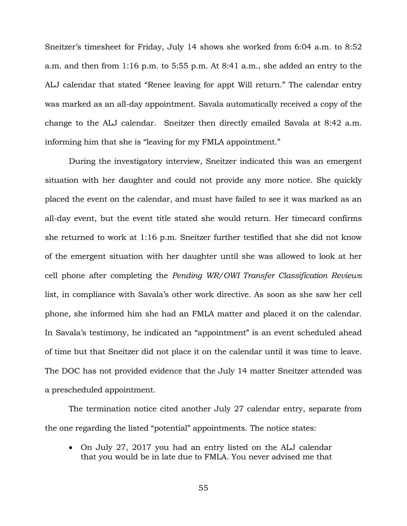Sneitzer's timesheet for Friday, July 14 shows she worked from 6:04 a.m. to 8:52 a.m. and then from 1:16 p.m. to 5:55 p.m. At 8:41 a.m., she added an entry to the ALJ calendar that stated "Renee leaving for appt Will return." The calendar entry was marked as an all-day appointment. Savala automatically received a copy of the change to the ALJ calendar. Sneitzer then directly emailed Savala at 8:42 a.m. informing him that she is "leaving for my FMLA appointment."

During the investigatory interview, Sneitzer indicated this was an emergent situation with her daughter and could not provide any more notice. She quickly placed the event on the calendar, and must have failed to see it was marked as an all-day event, but the event title stated she would return. Her timecard confirms she returned to work at 1:16 p.m. Sneitzer further testified that she did not know of the emergent situation with her daughter until she was allowed to look at her cell phone after completing the *Pending WR/OWI Transfer Classification Reviews* list, in compliance with Savala's other work directive. As soon as she saw her cell phone, she informed him she had an FMLA matter and placed it on the calendar. In Savala's testimony, he indicated an "appointment" is an event scheduled ahead of time but that Sneitzer did not place it on the calendar until it was time to leave. The DOC has not provided evidence that the July 14 matter Sneitzer attended was a prescheduled appointment.

The termination notice cited another July 27 calendar entry, separate from the one regarding the listed "potential" appointments. The notice states:

• On July 27, 2017 you had an entry listed on the ALJ calendar that you would be in late due to FMLA. You never advised me that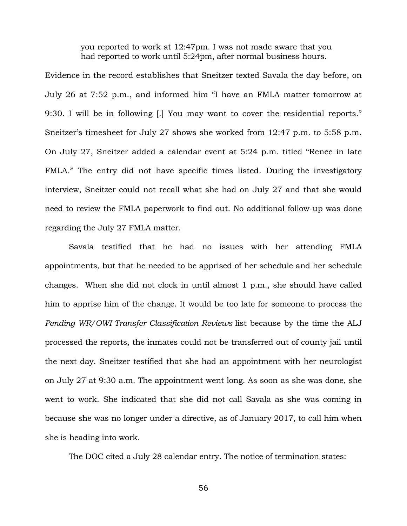you reported to work at 12:47pm. I was not made aware that you had reported to work until 5:24pm, after normal business hours.

Evidence in the record establishes that Sneitzer texted Savala the day before, on July 26 at 7:52 p.m., and informed him "I have an FMLA matter tomorrow at 9:30. I will be in following [.] You may want to cover the residential reports." Sneitzer's timesheet for July 27 shows she worked from 12:47 p.m. to 5:58 p.m. On July 27, Sneitzer added a calendar event at 5:24 p.m. titled "Renee in late FMLA." The entry did not have specific times listed. During the investigatory interview, Sneitzer could not recall what she had on July 27 and that she would need to review the FMLA paperwork to find out. No additional follow-up was done regarding the July 27 FMLA matter.

Savala testified that he had no issues with her attending FMLA appointments, but that he needed to be apprised of her schedule and her schedule changes. When she did not clock in until almost 1 p.m., she should have called him to apprise him of the change. It would be too late for someone to process the *Pending WR/OWI Transfer Classification Reviews* list because by the time the ALJ processed the reports, the inmates could not be transferred out of county jail until the next day. Sneitzer testified that she had an appointment with her neurologist on July 27 at 9:30 a.m. The appointment went long. As soon as she was done, she went to work. She indicated that she did not call Savala as she was coming in because she was no longer under a directive, as of January 2017, to call him when she is heading into work.

The DOC cited a July 28 calendar entry. The notice of termination states: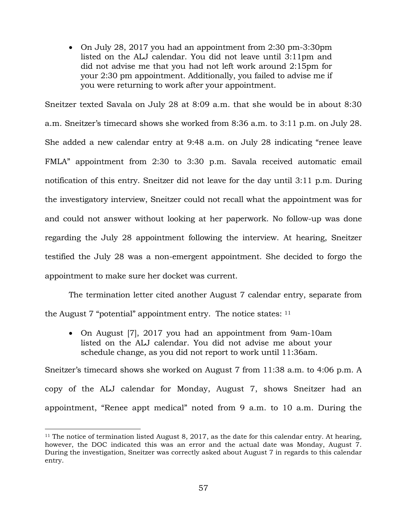• On July 28, 2017 you had an appointment from 2:30 pm-3:30pm listed on the ALJ calendar. You did not leave until 3:11pm and did not advise me that you had not left work around 2:15pm for your 2:30 pm appointment. Additionally, you failed to advise me if you were returning to work after your appointment.

Sneitzer texted Savala on July 28 at 8:09 a.m. that she would be in about 8:30 a.m. Sneitzer's timecard shows she worked from 8:36 a.m. to 3:11 p.m. on July 28. She added a new calendar entry at 9:48 a.m. on July 28 indicating "renee leave FMLA" appointment from 2:30 to 3:30 p.m. Savala received automatic email notification of this entry. Sneitzer did not leave for the day until 3:11 p.m. During the investigatory interview, Sneitzer could not recall what the appointment was for and could not answer without looking at her paperwork. No follow-up was done regarding the July 28 appointment following the interview. At hearing, Sneitzer testified the July 28 was a non-emergent appointment. She decided to forgo the appointment to make sure her docket was current.

The termination letter cited another August 7 calendar entry, separate from the August  $7$  "potential" appointment entry. The notice states:  $11$ 

• On August [7], 2017 you had an appointment from 9am-10am listed on the ALJ calendar. You did not advise me about your schedule change, as you did not report to work until 11:36am.

Sneitzer's timecard shows she worked on August 7 from 11:38 a.m. to 4:06 p.m. A copy of the ALJ calendar for Monday, August 7, shows Sneitzer had an appointment, "Renee appt medical" noted from 9 a.m. to 10 a.m. During the

÷.

<sup>&</sup>lt;sup>11</sup> The notice of termination listed August 8, 2017, as the date for this calendar entry. At hearing, however, the DOC indicated this was an error and the actual date was Monday, August 7. During the investigation, Sneitzer was correctly asked about August 7 in regards to this calendar entry.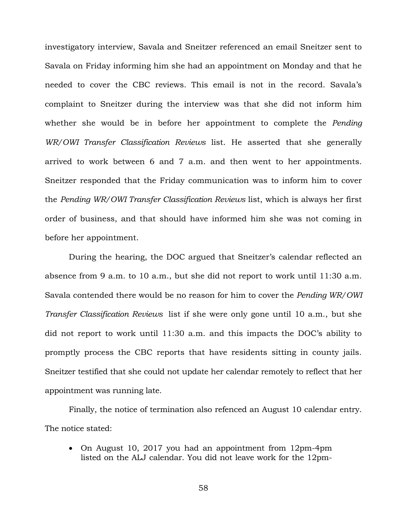investigatory interview, Savala and Sneitzer referenced an email Sneitzer sent to Savala on Friday informing him she had an appointment on Monday and that he needed to cover the CBC reviews. This email is not in the record. Savala's complaint to Sneitzer during the interview was that she did not inform him whether she would be in before her appointment to complete the *Pending WR/OWI Transfer Classification Reviews* list. He asserted that she generally arrived to work between 6 and 7 a.m. and then went to her appointments. Sneitzer responded that the Friday communication was to inform him to cover the *Pending WR/OWI Transfer Classification Reviews* list, which is always her first order of business, and that should have informed him she was not coming in before her appointment.

During the hearing, the DOC argued that Sneitzer's calendar reflected an absence from 9 a.m. to 10 a.m., but she did not report to work until 11:30 a.m. Savala contended there would be no reason for him to cover the *Pending WR/OWI Transfer Classification Reviews* list if she were only gone until 10 a.m., but she did not report to work until 11:30 a.m. and this impacts the DOC's ability to promptly process the CBC reports that have residents sitting in county jails. Sneitzer testified that she could not update her calendar remotely to reflect that her appointment was running late.

Finally, the notice of termination also refenced an August 10 calendar entry. The notice stated:

• On August 10, 2017 you had an appointment from 12pm-4pm listed on the ALJ calendar. You did not leave work for the 12pm-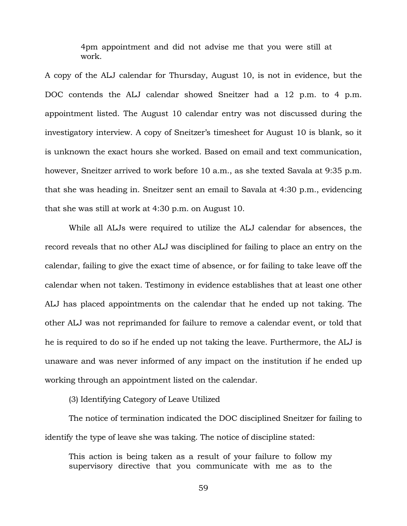4pm appointment and did not advise me that you were still at work.

A copy of the ALJ calendar for Thursday, August 10, is not in evidence, but the DOC contends the ALJ calendar showed Sneitzer had a 12 p.m. to 4 p.m. appointment listed. The August 10 calendar entry was not discussed during the investigatory interview. A copy of Sneitzer's timesheet for August 10 is blank, so it is unknown the exact hours she worked. Based on email and text communication, however, Sneitzer arrived to work before 10 a.m., as she texted Savala at 9:35 p.m. that she was heading in. Sneitzer sent an email to Savala at 4:30 p.m., evidencing that she was still at work at 4:30 p.m. on August 10.

While all ALJs were required to utilize the ALJ calendar for absences, the record reveals that no other ALJ was disciplined for failing to place an entry on the calendar, failing to give the exact time of absence, or for failing to take leave off the calendar when not taken. Testimony in evidence establishes that at least one other ALJ has placed appointments on the calendar that he ended up not taking. The other ALJ was not reprimanded for failure to remove a calendar event, or told that he is required to do so if he ended up not taking the leave. Furthermore, the ALJ is unaware and was never informed of any impact on the institution if he ended up working through an appointment listed on the calendar.

(3) Identifying Category of Leave Utilized

The notice of termination indicated the DOC disciplined Sneitzer for failing to identify the type of leave she was taking. The notice of discipline stated:

This action is being taken as a result of your failure to follow my supervisory directive that you communicate with me as to the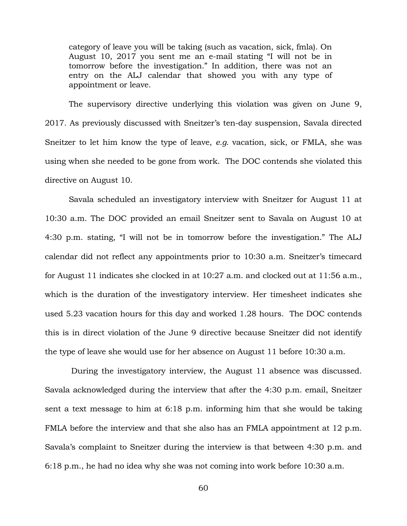category of leave you will be taking (such as vacation, sick, fmla). On August 10, 2017 you sent me an e-mail stating "I will not be in tomorrow before the investigation." In addition, there was not an entry on the ALJ calendar that showed you with any type of appointment or leave.

The supervisory directive underlying this violation was given on June 9, 2017. As previously discussed with Sneitzer's ten-day suspension, Savala directed Sneitzer to let him know the type of leave, *e.g.* vacation, sick, or FMLA, she was using when she needed to be gone from work. The DOC contends she violated this directive on August 10.

Savala scheduled an investigatory interview with Sneitzer for August 11 at 10:30 a.m. The DOC provided an email Sneitzer sent to Savala on August 10 at 4:30 p.m. stating, "I will not be in tomorrow before the investigation." The ALJ calendar did not reflect any appointments prior to 10:30 a.m. Sneitzer's timecard for August 11 indicates she clocked in at 10:27 a.m. and clocked out at 11:56 a.m., which is the duration of the investigatory interview. Her timesheet indicates she used 5.23 vacation hours for this day and worked 1.28 hours. The DOC contends this is in direct violation of the June 9 directive because Sneitzer did not identify the type of leave she would use for her absence on August 11 before 10:30 a.m.

During the investigatory interview, the August 11 absence was discussed. Savala acknowledged during the interview that after the 4:30 p.m. email, Sneitzer sent a text message to him at 6:18 p.m. informing him that she would be taking FMLA before the interview and that she also has an FMLA appointment at 12 p.m. Savala's complaint to Sneitzer during the interview is that between 4:30 p.m. and 6:18 p.m., he had no idea why she was not coming into work before 10:30 a.m.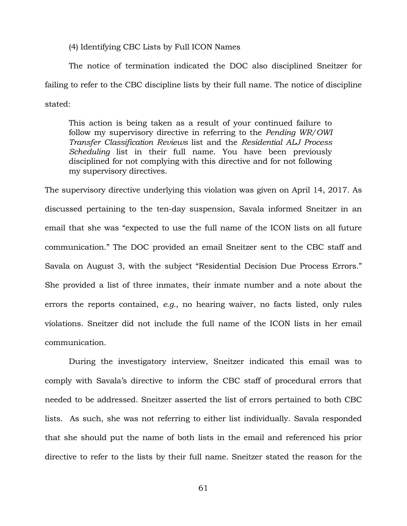(4) Identifying CBC Lists by Full ICON Names

The notice of termination indicated the DOC also disciplined Sneitzer for failing to refer to the CBC discipline lists by their full name. The notice of discipline stated:

This action is being taken as a result of your continued failure to follow my supervisory directive in referring to the *Pending WR/OWI Transfer Classification Reviews* list and the *Residential ALJ Process Scheduling* list in their full name. You have been previously disciplined for not complying with this directive and for not following my supervisory directives.

The supervisory directive underlying this violation was given on April 14, 2017. As discussed pertaining to the ten-day suspension, Savala informed Sneitzer in an email that she was "expected to use the full name of the ICON lists on all future communication." The DOC provided an email Sneitzer sent to the CBC staff and Savala on August 3, with the subject "Residential Decision Due Process Errors." She provided a list of three inmates, their inmate number and a note about the errors the reports contained, *e.g.*, no hearing waiver, no facts listed, only rules violations. Sneitzer did not include the full name of the ICON lists in her email communication.

During the investigatory interview, Sneitzer indicated this email was to comply with Savala's directive to inform the CBC staff of procedural errors that needed to be addressed. Sneitzer asserted the list of errors pertained to both CBC lists. As such, she was not referring to either list individually. Savala responded that she should put the name of both lists in the email and referenced his prior directive to refer to the lists by their full name. Sneitzer stated the reason for the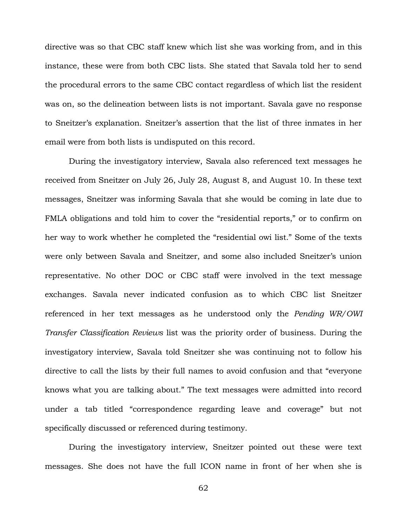directive was so that CBC staff knew which list she was working from, and in this instance, these were from both CBC lists. She stated that Savala told her to send the procedural errors to the same CBC contact regardless of which list the resident was on, so the delineation between lists is not important. Savala gave no response to Sneitzer's explanation. Sneitzer's assertion that the list of three inmates in her email were from both lists is undisputed on this record.

During the investigatory interview, Savala also referenced text messages he received from Sneitzer on July 26, July 28, August 8, and August 10. In these text messages, Sneitzer was informing Savala that she would be coming in late due to FMLA obligations and told him to cover the "residential reports," or to confirm on her way to work whether he completed the "residential owi list." Some of the texts were only between Savala and Sneitzer, and some also included Sneitzer's union representative. No other DOC or CBC staff were involved in the text message exchanges. Savala never indicated confusion as to which CBC list Sneitzer referenced in her text messages as he understood only the *Pending WR/OWI Transfer Classification Reviews* list was the priority order of business. During the investigatory interview, Savala told Sneitzer she was continuing not to follow his directive to call the lists by their full names to avoid confusion and that "everyone knows what you are talking about." The text messages were admitted into record under a tab titled "correspondence regarding leave and coverage" but not specifically discussed or referenced during testimony.

During the investigatory interview, Sneitzer pointed out these were text messages. She does not have the full ICON name in front of her when she is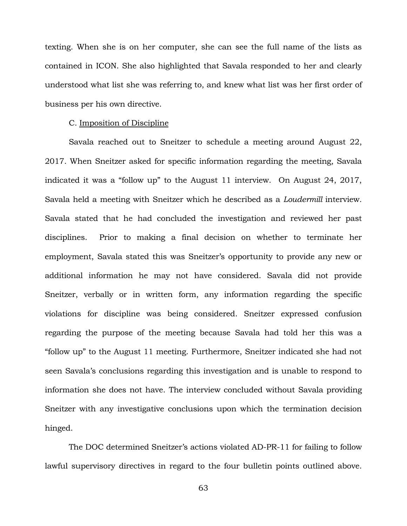texting. When she is on her computer, she can see the full name of the lists as contained in ICON. She also highlighted that Savala responded to her and clearly understood what list she was referring to, and knew what list was her first order of business per his own directive.

#### C. Imposition of Discipline

Savala reached out to Sneitzer to schedule a meeting around August 22, 2017. When Sneitzer asked for specific information regarding the meeting, Savala indicated it was a "follow up" to the August 11 interview. On August 24, 2017, Savala held a meeting with Sneitzer which he described as a *Loudermill* interview. Savala stated that he had concluded the investigation and reviewed her past disciplines. Prior to making a final decision on whether to terminate her employment, Savala stated this was Sneitzer's opportunity to provide any new or additional information he may not have considered. Savala did not provide Sneitzer, verbally or in written form, any information regarding the specific violations for discipline was being considered. Sneitzer expressed confusion regarding the purpose of the meeting because Savala had told her this was a "follow up" to the August 11 meeting. Furthermore, Sneitzer indicated she had not seen Savala's conclusions regarding this investigation and is unable to respond to information she does not have. The interview concluded without Savala providing Sneitzer with any investigative conclusions upon which the termination decision hinged.

The DOC determined Sneitzer's actions violated AD-PR-11 for failing to follow lawful supervisory directives in regard to the four bulletin points outlined above.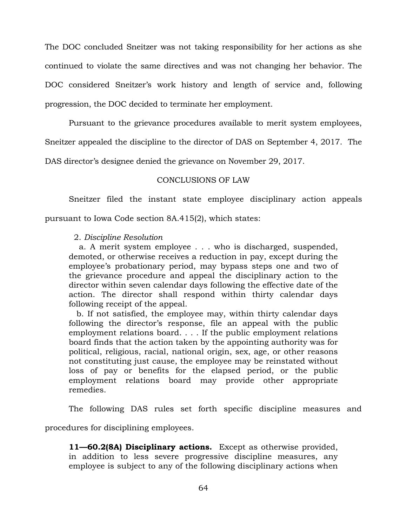The DOC concluded Sneitzer was not taking responsibility for her actions as she continued to violate the same directives and was not changing her behavior. The DOC considered Sneitzer's work history and length of service and, following progression, the DOC decided to terminate her employment.

Pursuant to the grievance procedures available to merit system employees,

Sneitzer appealed the discipline to the director of DAS on September 4, 2017. The

DAS director's designee denied the grievance on November 29, 2017.

# CONCLUSIONS OF LAW

Sneitzer filed the instant state employee disciplinary action appeals

pursuant to Iowa Code section 8A.415(2), which states:

### 2. *Discipline Resolution*

 a. A merit system employee . . . who is discharged, suspended, demoted, or otherwise receives a reduction in pay, except during the employee's probationary period, may bypass steps one and two of the grievance procedure and appeal the disciplinary action to the director within seven calendar days following the effective date of the action. The director shall respond within thirty calendar days following receipt of the appeal.

 b. If not satisfied, the employee may, within thirty calendar days following the director's response, file an appeal with the public employment relations board. . . . If the public employment relations board finds that the action taken by the appointing authority was for political, religious, racial, national origin, sex, age, or other reasons not constituting just cause, the employee may be reinstated without loss of pay or benefits for the elapsed period, or the public employment relations board may provide other appropriate remedies.

The following DAS rules set forth specific discipline measures and

procedures for disciplining employees.

**11—60.2(8A) Disciplinary actions.** Except as otherwise provided, in addition to less severe progressive discipline measures, any employee is subject to any of the following disciplinary actions when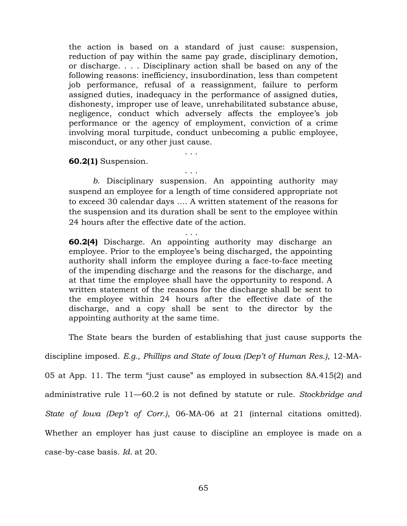the action is based on a standard of just cause: suspension, reduction of pay within the same pay grade, disciplinary demotion, or discharge. . . . Disciplinary action shall be based on any of the following reasons: inefficiency, insubordination, less than competent job performance, refusal of a reassignment, failure to perform assigned duties, inadequacy in the performance of assigned duties, dishonesty, improper use of leave, unrehabilitated substance abuse, negligence, conduct which adversely affects the employee's job performance or the agency of employment, conviction of a crime involving moral turpitude, conduct unbecoming a public employee, misconduct, or any other just cause.

**60.2(1)** Suspension.

*b*. Disciplinary suspension. An appointing authority may suspend an employee for a length of time considered appropriate not to exceed 30 calendar days …. A written statement of the reasons for the suspension and its duration shall be sent to the employee within 24 hours after the effective date of the action.

. . .

. . .

. . .

**60.2(4)** Discharge. An appointing authority may discharge an employee. Prior to the employee's being discharged, the appointing authority shall inform the employee during a face-to-face meeting of the impending discharge and the reasons for the discharge, and at that time the employee shall have the opportunity to respond. A written statement of the reasons for the discharge shall be sent to the employee within 24 hours after the effective date of the discharge, and a copy shall be sent to the director by the appointing authority at the same time.

The State bears the burden of establishing that just cause supports the

discipline imposed. *E.g., Phillips and State of Iowa (Dep't of Human Res.)*, 12-MA-

05 at App. 11. The term "just cause" as employed in subsection 8A.415(2) and

administrative rule 11—60.2 is not defined by statute or rule. *Stockbridge and* 

*State of Iowa (Dep't of Corr.)*, 06-MA-06 at 21 (internal citations omitted).

Whether an employer has just cause to discipline an employee is made on a

case-by-case basis. *Id.* at 20.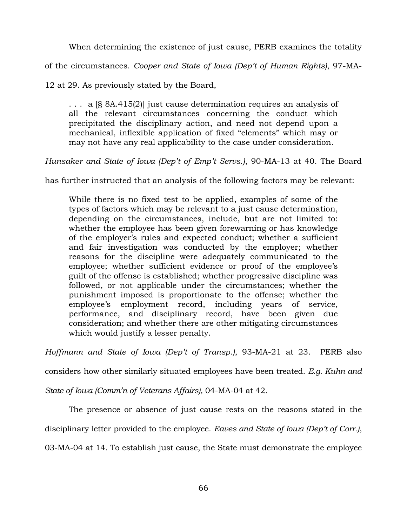When determining the existence of just cause, PERB examines the totality

of the circumstances. *Cooper and State of Iowa (Dep't of Human Rights)*, 97-MA-

12 at 29. As previously stated by the Board,

. . . a [§ 8A.415(2)] just cause determination requires an analysis of all the relevant circumstances concerning the conduct which precipitated the disciplinary action, and need not depend upon a mechanical, inflexible application of fixed "elements" which may or may not have any real applicability to the case under consideration.

*Hunsaker and State of Iowa (Dep't of Emp't Servs.)*, 90-MA-13 at 40. The Board

has further instructed that an analysis of the following factors may be relevant:

While there is no fixed test to be applied, examples of some of the types of factors which may be relevant to a just cause determination, depending on the circumstances, include, but are not limited to: whether the employee has been given forewarning or has knowledge of the employer's rules and expected conduct; whether a sufficient and fair investigation was conducted by the employer; whether reasons for the discipline were adequately communicated to the employee; whether sufficient evidence or proof of the employee's guilt of the offense is established; whether progressive discipline was followed, or not applicable under the circumstances; whether the punishment imposed is proportionate to the offense; whether the employee's employment record, including years of service, performance, and disciplinary record, have been given due consideration; and whether there are other mitigating circumstances which would justify a lesser penalty.

*Hoffmann and State of Iowa (Dep't of Transp.)*, 93-MA-21 at 23. PERB also

considers how other similarly situated employees have been treated. *E.g. Kuhn and* 

*State of Iowa (Comm'n of Veterans Affairs),* 04-MA-04 at 42.

The presence or absence of just cause rests on the reasons stated in the

disciplinary letter provided to the employee. *Eaves and State of Iowa (Dep't of Corr.)*,

03-MA-04 at 14. To establish just cause, the State must demonstrate the employee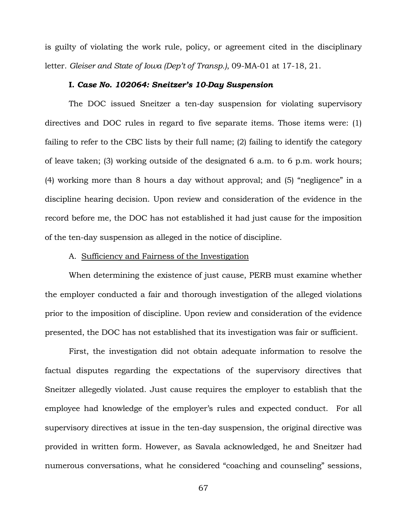is guilty of violating the work rule, policy, or agreement cited in the disciplinary letter. *Gleiser and State of Iowa (Dep't of Transp.)*, 09-MA-01 at 17-18, 21.

#### **I.** *Case No. 102064: Sneitzer's 10-Day Suspension*

The DOC issued Sneitzer a ten-day suspension for violating supervisory directives and DOC rules in regard to five separate items. Those items were: (1) failing to refer to the CBC lists by their full name; (2) failing to identify the category of leave taken; (3) working outside of the designated 6 a.m. to 6 p.m. work hours; (4) working more than 8 hours a day without approval; and (5) "negligence" in a discipline hearing decision. Upon review and consideration of the evidence in the record before me, the DOC has not established it had just cause for the imposition of the ten-day suspension as alleged in the notice of discipline.

# A. Sufficiency and Fairness of the Investigation

When determining the existence of just cause, PERB must examine whether the employer conducted a fair and thorough investigation of the alleged violations prior to the imposition of discipline. Upon review and consideration of the evidence presented, the DOC has not established that its investigation was fair or sufficient.

First, the investigation did not obtain adequate information to resolve the factual disputes regarding the expectations of the supervisory directives that Sneitzer allegedly violated. Just cause requires the employer to establish that the employee had knowledge of the employer's rules and expected conduct. For all supervisory directives at issue in the ten-day suspension, the original directive was provided in written form. However, as Savala acknowledged, he and Sneitzer had numerous conversations, what he considered "coaching and counseling" sessions,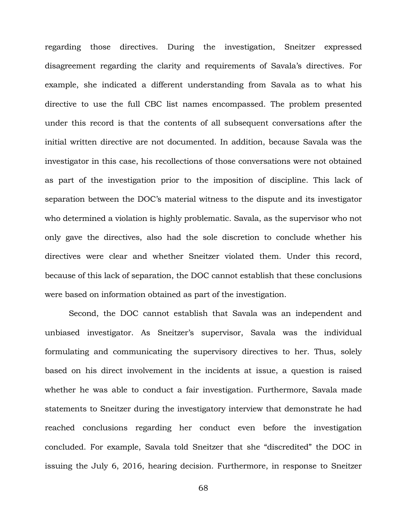regarding those directives. During the investigation, Sneitzer expressed disagreement regarding the clarity and requirements of Savala's directives. For example, she indicated a different understanding from Savala as to what his directive to use the full CBC list names encompassed. The problem presented under this record is that the contents of all subsequent conversations after the initial written directive are not documented. In addition, because Savala was the investigator in this case, his recollections of those conversations were not obtained as part of the investigation prior to the imposition of discipline. This lack of separation between the DOC's material witness to the dispute and its investigator who determined a violation is highly problematic. Savala, as the supervisor who not only gave the directives, also had the sole discretion to conclude whether his directives were clear and whether Sneitzer violated them. Under this record, because of this lack of separation, the DOC cannot establish that these conclusions were based on information obtained as part of the investigation.

Second, the DOC cannot establish that Savala was an independent and unbiased investigator. As Sneitzer's supervisor, Savala was the individual formulating and communicating the supervisory directives to her. Thus, solely based on his direct involvement in the incidents at issue, a question is raised whether he was able to conduct a fair investigation. Furthermore, Savala made statements to Sneitzer during the investigatory interview that demonstrate he had reached conclusions regarding her conduct even before the investigation concluded. For example, Savala told Sneitzer that she "discredited" the DOC in issuing the July 6, 2016, hearing decision. Furthermore, in response to Sneitzer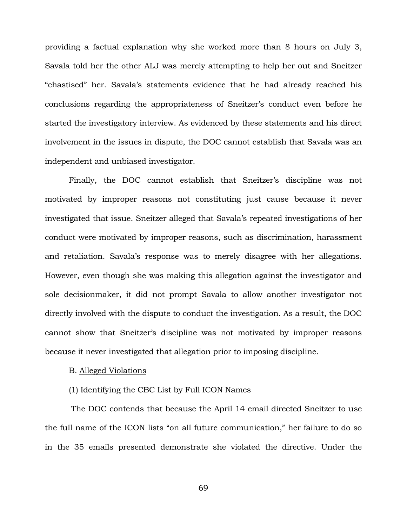providing a factual explanation why she worked more than 8 hours on July 3, Savala told her the other ALJ was merely attempting to help her out and Sneitzer "chastised" her. Savala's statements evidence that he had already reached his conclusions regarding the appropriateness of Sneitzer's conduct even before he started the investigatory interview. As evidenced by these statements and his direct involvement in the issues in dispute, the DOC cannot establish that Savala was an independent and unbiased investigator.

Finally, the DOC cannot establish that Sneitzer's discipline was not motivated by improper reasons not constituting just cause because it never investigated that issue. Sneitzer alleged that Savala's repeated investigations of her conduct were motivated by improper reasons, such as discrimination, harassment and retaliation. Savala's response was to merely disagree with her allegations. However, even though she was making this allegation against the investigator and sole decisionmaker, it did not prompt Savala to allow another investigator not directly involved with the dispute to conduct the investigation. As a result, the DOC cannot show that Sneitzer's discipline was not motivated by improper reasons because it never investigated that allegation prior to imposing discipline.

# B. Alleged Violations

### (1) Identifying the CBC List by Full ICON Names

The DOC contends that because the April 14 email directed Sneitzer to use the full name of the ICON lists "on all future communication," her failure to do so in the 35 emails presented demonstrate she violated the directive. Under the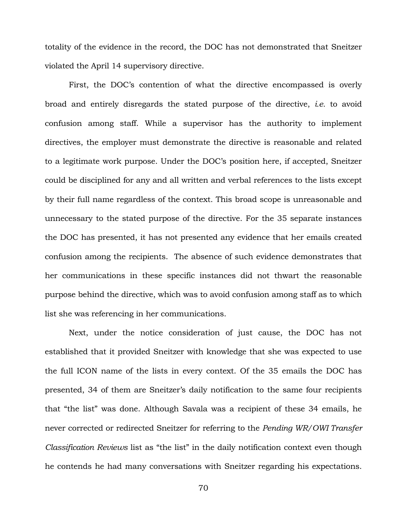totality of the evidence in the record, the DOC has not demonstrated that Sneitzer violated the April 14 supervisory directive.

First, the DOC's contention of what the directive encompassed is overly broad and entirely disregards the stated purpose of the directive, *i.e.* to avoid confusion among staff. While a supervisor has the authority to implement directives, the employer must demonstrate the directive is reasonable and related to a legitimate work purpose. Under the DOC's position here, if accepted, Sneitzer could be disciplined for any and all written and verbal references to the lists except by their full name regardless of the context. This broad scope is unreasonable and unnecessary to the stated purpose of the directive. For the 35 separate instances the DOC has presented, it has not presented any evidence that her emails created confusion among the recipients. The absence of such evidence demonstrates that her communications in these specific instances did not thwart the reasonable purpose behind the directive, which was to avoid confusion among staff as to which list she was referencing in her communications.

Next, under the notice consideration of just cause, the DOC has not established that it provided Sneitzer with knowledge that she was expected to use the full ICON name of the lists in every context. Of the 35 emails the DOC has presented, 34 of them are Sneitzer's daily notification to the same four recipients that "the list" was done. Although Savala was a recipient of these 34 emails, he never corrected or redirected Sneitzer for referring to the *Pending WR/OWI Transfer Classification Reviews* list as "the list" in the daily notification context even though he contends he had many conversations with Sneitzer regarding his expectations.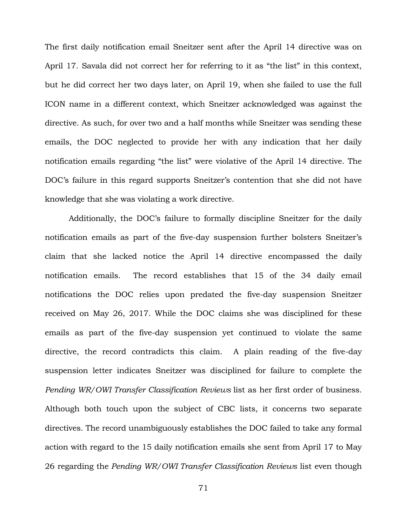The first daily notification email Sneitzer sent after the April 14 directive was on April 17. Savala did not correct her for referring to it as "the list" in this context, but he did correct her two days later, on April 19, when she failed to use the full ICON name in a different context, which Sneitzer acknowledged was against the directive. As such, for over two and a half months while Sneitzer was sending these emails, the DOC neglected to provide her with any indication that her daily notification emails regarding "the list" were violative of the April 14 directive. The DOC's failure in this regard supports Sneitzer's contention that she did not have knowledge that she was violating a work directive.

Additionally, the DOC's failure to formally discipline Sneitzer for the daily notification emails as part of the five-day suspension further bolsters Sneitzer's claim that she lacked notice the April 14 directive encompassed the daily notification emails. The record establishes that 15 of the 34 daily email notifications the DOC relies upon predated the five-day suspension Sneitzer received on May 26, 2017. While the DOC claims she was disciplined for these emails as part of the five-day suspension yet continued to violate the same directive, the record contradicts this claim. A plain reading of the five-day suspension letter indicates Sneitzer was disciplined for failure to complete the *Pending WR/OWI Transfer Classification Reviews* list as her first order of business. Although both touch upon the subject of CBC lists, it concerns two separate directives. The record unambiguously establishes the DOC failed to take any formal action with regard to the 15 daily notification emails she sent from April 17 to May 26 regarding the *Pending WR/OWI Transfer Classification Reviews* list even though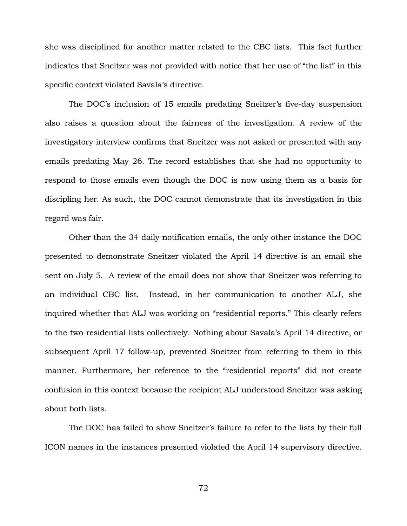she was disciplined for another matter related to the CBC lists. This fact further indicates that Sneitzer was not provided with notice that her use of "the list" in this specific context violated Savala's directive.

The DOC's inclusion of 15 emails predating Sneitzer's five-day suspension also raises a question about the fairness of the investigation. A review of the investigatory interview confirms that Sneitzer was not asked or presented with any emails predating May 26. The record establishes that she had no opportunity to respond to those emails even though the DOC is now using them as a basis for discipling her. As such, the DOC cannot demonstrate that its investigation in this regard was fair.

Other than the 34 daily notification emails, the only other instance the DOC presented to demonstrate Sneitzer violated the April 14 directive is an email she sent on July 5. A review of the email does not show that Sneitzer was referring to an individual CBC list. Instead, in her communication to another ALJ, she inquired whether that ALJ was working on "residential reports." This clearly refers to the two residential lists collectively. Nothing about Savala's April 14 directive, or subsequent April 17 follow-up, prevented Sneitzer from referring to them in this manner. Furthermore, her reference to the "residential reports" did not create confusion in this context because the recipient ALJ understood Sneitzer was asking about both lists.

The DOC has failed to show Sneitzer's failure to refer to the lists by their full ICON names in the instances presented violated the April 14 supervisory directive.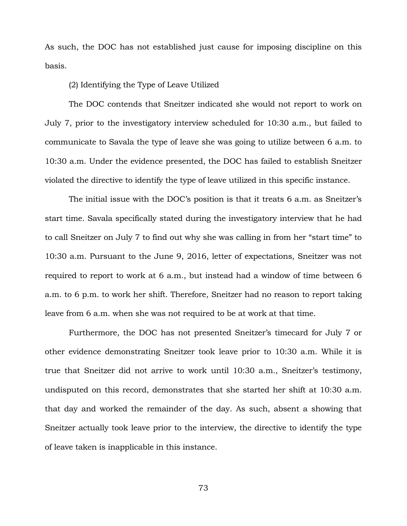As such, the DOC has not established just cause for imposing discipline on this basis.

# (2) Identifying the Type of Leave Utilized

The DOC contends that Sneitzer indicated she would not report to work on July 7, prior to the investigatory interview scheduled for 10:30 a.m., but failed to communicate to Savala the type of leave she was going to utilize between 6 a.m. to 10:30 a.m. Under the evidence presented, the DOC has failed to establish Sneitzer violated the directive to identify the type of leave utilized in this specific instance.

The initial issue with the DOC's position is that it treats 6 a.m. as Sneitzer's start time. Savala specifically stated during the investigatory interview that he had to call Sneitzer on July 7 to find out why she was calling in from her "start time" to 10:30 a.m. Pursuant to the June 9, 2016, letter of expectations, Sneitzer was not required to report to work at 6 a.m., but instead had a window of time between 6 a.m. to 6 p.m. to work her shift. Therefore, Sneitzer had no reason to report taking leave from 6 a.m. when she was not required to be at work at that time.

Furthermore, the DOC has not presented Sneitzer's timecard for July 7 or other evidence demonstrating Sneitzer took leave prior to 10:30 a.m. While it is true that Sneitzer did not arrive to work until 10:30 a.m., Sneitzer's testimony, undisputed on this record, demonstrates that she started her shift at 10:30 a.m. that day and worked the remainder of the day. As such, absent a showing that Sneitzer actually took leave prior to the interview, the directive to identify the type of leave taken is inapplicable in this instance.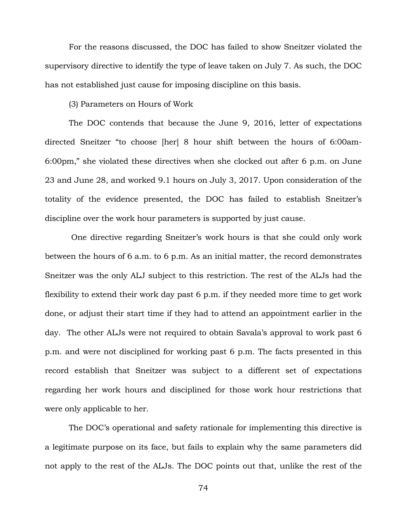For the reasons discussed, the DOC has failed to show Sneitzer violated the supervisory directive to identify the type of leave taken on July 7. As such, the DOC has not established just cause for imposing discipline on this basis.

(3) Parameters on Hours of Work

The DOC contends that because the June 9, 2016, letter of expectations directed Sneitzer "to choose [her] 8 hour shift between the hours of 6:00am-6:00pm," she violated these directives when she clocked out after 6 p.m. on June 23 and June 28, and worked 9.1 hours on July 3, 2017. Upon consideration of the totality of the evidence presented, the DOC has failed to establish Sneitzer's discipline over the work hour parameters is supported by just cause.

One directive regarding Sneitzer's work hours is that she could only work between the hours of 6 a.m. to 6 p.m. As an initial matter, the record demonstrates Sneitzer was the only ALJ subject to this restriction. The rest of the ALJs had the flexibility to extend their work day past 6 p.m. if they needed more time to get work done, or adjust their start time if they had to attend an appointment earlier in the day. The other ALJs were not required to obtain Savala's approval to work past 6 p.m. and were not disciplined for working past 6 p.m. The facts presented in this record establish that Sneitzer was subject to a different set of expectations regarding her work hours and disciplined for those work hour restrictions that were only applicable to her.

The DOC's operational and safety rationale for implementing this directive is a legitimate purpose on its face, but fails to explain why the same parameters did not apply to the rest of the ALJs. The DOC points out that, unlike the rest of the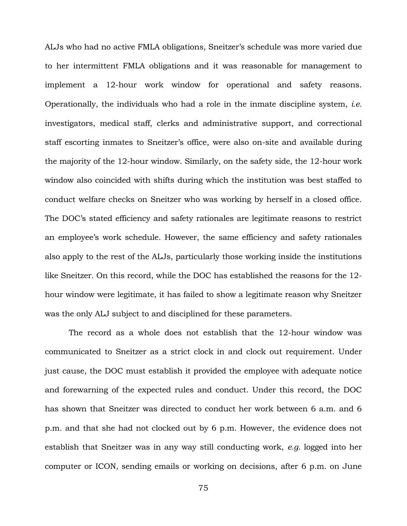ALJs who had no active FMLA obligations, Sneitzer's schedule was more varied due to her intermittent FMLA obligations and it was reasonable for management to implement a 12-hour work window for operational and safety reasons. Operationally, the individuals who had a role in the inmate discipline system, *i.e.* investigators, medical staff, clerks and administrative support, and correctional staff escorting inmates to Sneitzer's office, were also on-site and available during the majority of the 12-hour window. Similarly, on the safety side, the 12-hour work window also coincided with shifts during which the institution was best staffed to conduct welfare checks on Sneitzer who was working by herself in a closed office. The DOC's stated efficiency and safety rationales are legitimate reasons to restrict an employee's work schedule. However, the same efficiency and safety rationales also apply to the rest of the ALJs, particularly those working inside the institutions like Sneitzer. On this record, while the DOC has established the reasons for the 12 hour window were legitimate, it has failed to show a legitimate reason why Sneitzer was the only ALJ subject to and disciplined for these parameters.

The record as a whole does not establish that the 12-hour window was communicated to Sneitzer as a strict clock in and clock out requirement. Under just cause, the DOC must establish it provided the employee with adequate notice and forewarning of the expected rules and conduct. Under this record, the DOC has shown that Sneitzer was directed to conduct her work between 6 a.m. and 6 p.m. and that she had not clocked out by 6 p.m. However, the evidence does not establish that Sneitzer was in any way still conducting work, *e.g.* logged into her computer or ICON, sending emails or working on decisions, after 6 p.m. on June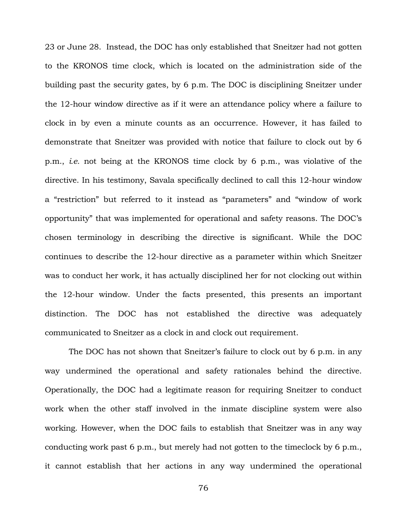23 or June 28. Instead, the DOC has only established that Sneitzer had not gotten to the KRONOS time clock, which is located on the administration side of the building past the security gates, by 6 p.m. The DOC is disciplining Sneitzer under the 12-hour window directive as if it were an attendance policy where a failure to clock in by even a minute counts as an occurrence. However, it has failed to demonstrate that Sneitzer was provided with notice that failure to clock out by 6 p.m., *i.e.* not being at the KRONOS time clock by 6 p.m., was violative of the directive. In his testimony, Savala specifically declined to call this 12-hour window a "restriction" but referred to it instead as "parameters" and "window of work opportunity" that was implemented for operational and safety reasons. The DOC's chosen terminology in describing the directive is significant. While the DOC continues to describe the 12-hour directive as a parameter within which Sneitzer was to conduct her work, it has actually disciplined her for not clocking out within the 12-hour window. Under the facts presented, this presents an important distinction. The DOC has not established the directive was adequately communicated to Sneitzer as a clock in and clock out requirement.

The DOC has not shown that Sneitzer's failure to clock out by 6 p.m. in any way undermined the operational and safety rationales behind the directive. Operationally, the DOC had a legitimate reason for requiring Sneitzer to conduct work when the other staff involved in the inmate discipline system were also working. However, when the DOC fails to establish that Sneitzer was in any way conducting work past 6 p.m., but merely had not gotten to the timeclock by 6 p.m., it cannot establish that her actions in any way undermined the operational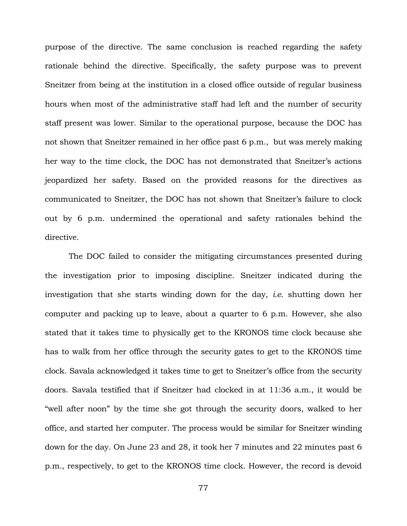purpose of the directive. The same conclusion is reached regarding the safety rationale behind the directive. Specifically, the safety purpose was to prevent Sneitzer from being at the institution in a closed office outside of regular business hours when most of the administrative staff had left and the number of security staff present was lower. Similar to the operational purpose, because the DOC has not shown that Sneitzer remained in her office past 6 p.m., but was merely making her way to the time clock, the DOC has not demonstrated that Sneitzer's actions jeopardized her safety. Based on the provided reasons for the directives as communicated to Sneitzer, the DOC has not shown that Sneitzer's failure to clock out by 6 p.m. undermined the operational and safety rationales behind the directive.

The DOC failed to consider the mitigating circumstances presented during the investigation prior to imposing discipline. Sneitzer indicated during the investigation that she starts winding down for the day, *i.e*. shutting down her computer and packing up to leave, about a quarter to 6 p.m. However, she also stated that it takes time to physically get to the KRONOS time clock because she has to walk from her office through the security gates to get to the KRONOS time clock. Savala acknowledged it takes time to get to Sneitzer's office from the security doors. Savala testified that if Sneitzer had clocked in at 11:36 a.m., it would be "well after noon" by the time she got through the security doors, walked to her office, and started her computer. The process would be similar for Sneitzer winding down for the day. On June 23 and 28, it took her 7 minutes and 22 minutes past 6 p.m., respectively, to get to the KRONOS time clock. However, the record is devoid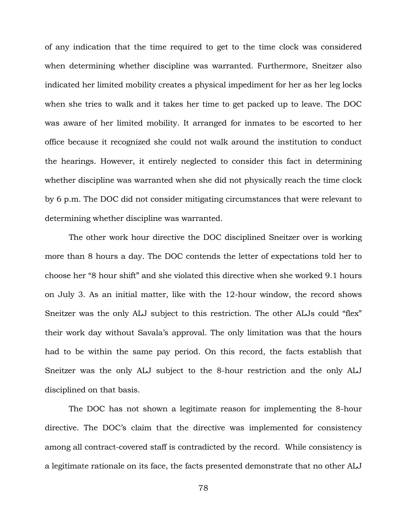of any indication that the time required to get to the time clock was considered when determining whether discipline was warranted. Furthermore, Sneitzer also indicated her limited mobility creates a physical impediment for her as her leg locks when she tries to walk and it takes her time to get packed up to leave. The DOC was aware of her limited mobility. It arranged for inmates to be escorted to her office because it recognized she could not walk around the institution to conduct the hearings. However, it entirely neglected to consider this fact in determining whether discipline was warranted when she did not physically reach the time clock by 6 p.m. The DOC did not consider mitigating circumstances that were relevant to determining whether discipline was warranted.

The other work hour directive the DOC disciplined Sneitzer over is working more than 8 hours a day. The DOC contends the letter of expectations told her to choose her "8 hour shift" and she violated this directive when she worked 9.1 hours on July 3. As an initial matter, like with the 12-hour window, the record shows Sneitzer was the only ALJ subject to this restriction. The other ALJs could "flex" their work day without Savala's approval. The only limitation was that the hours had to be within the same pay period. On this record, the facts establish that Sneitzer was the only ALJ subject to the 8-hour restriction and the only ALJ disciplined on that basis.

The DOC has not shown a legitimate reason for implementing the 8-hour directive. The DOC's claim that the directive was implemented for consistency among all contract-covered staff is contradicted by the record. While consistency is a legitimate rationale on its face, the facts presented demonstrate that no other ALJ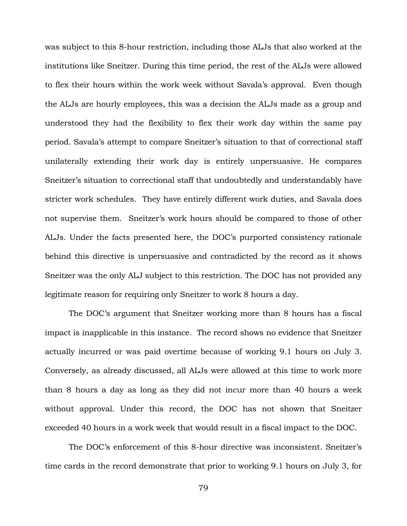was subject to this 8-hour restriction, including those ALJs that also worked at the institutions like Sneitzer. During this time period, the rest of the ALJs were allowed to flex their hours within the work week without Savala's approval. Even though the ALJs are hourly employees, this was a decision the ALJs made as a group and understood they had the flexibility to flex their work day within the same pay period. Savala's attempt to compare Sneitzer's situation to that of correctional staff unilaterally extending their work day is entirely unpersuasive. He compares Sneitzer's situation to correctional staff that undoubtedly and understandably have stricter work schedules. They have entirely different work duties, and Savala does not supervise them. Sneitzer's work hours should be compared to those of other ALJs. Under the facts presented here, the DOC's purported consistency rationale behind this directive is unpersuasive and contradicted by the record as it shows Sneitzer was the only ALJ subject to this restriction. The DOC has not provided any legitimate reason for requiring only Sneitzer to work 8 hours a day.

The DOC's argument that Sneitzer working more than 8 hours has a fiscal impact is inapplicable in this instance. The record shows no evidence that Sneitzer actually incurred or was paid overtime because of working 9.1 hours on July 3. Conversely, as already discussed, all ALJs were allowed at this time to work more than 8 hours a day as long as they did not incur more than 40 hours a week without approval. Under this record, the DOC has not shown that Sneitzer exceeded 40 hours in a work week that would result in a fiscal impact to the DOC.

The DOC's enforcement of this 8-hour directive was inconsistent. Sneitzer's time cards in the record demonstrate that prior to working 9.1 hours on July 3, for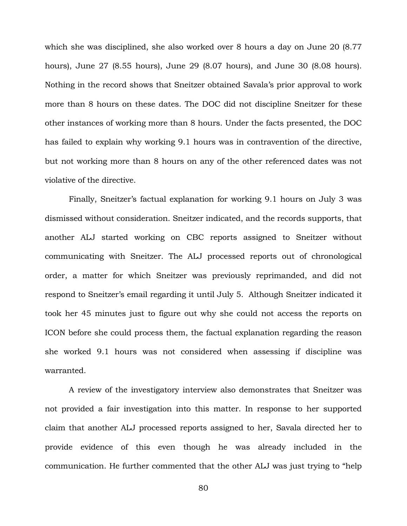which she was disciplined, she also worked over 8 hours a day on June 20 (8.77 hours), June 27 (8.55 hours), June 29 (8.07 hours), and June 30 (8.08 hours). Nothing in the record shows that Sneitzer obtained Savala's prior approval to work more than 8 hours on these dates. The DOC did not discipline Sneitzer for these other instances of working more than 8 hours. Under the facts presented, the DOC has failed to explain why working 9.1 hours was in contravention of the directive, but not working more than 8 hours on any of the other referenced dates was not violative of the directive.

Finally, Sneitzer's factual explanation for working 9.1 hours on July 3 was dismissed without consideration. Sneitzer indicated, and the records supports, that another ALJ started working on CBC reports assigned to Sneitzer without communicating with Sneitzer. The ALJ processed reports out of chronological order, a matter for which Sneitzer was previously reprimanded, and did not respond to Sneitzer's email regarding it until July 5. Although Sneitzer indicated it took her 45 minutes just to figure out why she could not access the reports on ICON before she could process them, the factual explanation regarding the reason she worked 9.1 hours was not considered when assessing if discipline was warranted.

A review of the investigatory interview also demonstrates that Sneitzer was not provided a fair investigation into this matter. In response to her supported claim that another ALJ processed reports assigned to her, Savala directed her to provide evidence of this even though he was already included in the communication. He further commented that the other ALJ was just trying to "help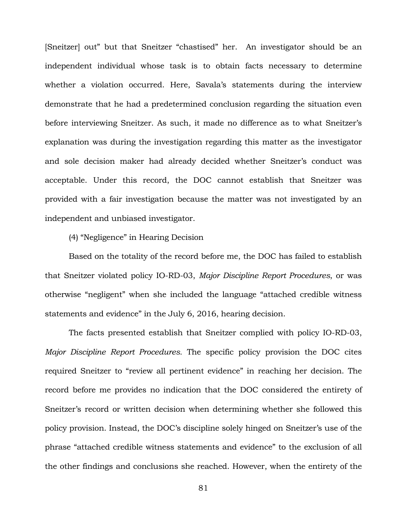[Sneitzer] out" but that Sneitzer "chastised" her. An investigator should be an independent individual whose task is to obtain facts necessary to determine whether a violation occurred. Here, Savala's statements during the interview demonstrate that he had a predetermined conclusion regarding the situation even before interviewing Sneitzer. As such, it made no difference as to what Sneitzer's explanation was during the investigation regarding this matter as the investigator and sole decision maker had already decided whether Sneitzer's conduct was acceptable. Under this record, the DOC cannot establish that Sneitzer was provided with a fair investigation because the matter was not investigated by an independent and unbiased investigator.

(4) "Negligence" in Hearing Decision

Based on the totality of the record before me, the DOC has failed to establish that Sneitzer violated policy IO-RD-03, *Major Discipline Report Procedures*, or was otherwise "negligent" when she included the language "attached credible witness statements and evidence" in the July 6, 2016, hearing decision.

The facts presented establish that Sneitzer complied with policy IO-RD-03, *Major Discipline Report Procedures.* The specific policy provision the DOC cites required Sneitzer to "review all pertinent evidence" in reaching her decision. The record before me provides no indication that the DOC considered the entirety of Sneitzer's record or written decision when determining whether she followed this policy provision. Instead, the DOC's discipline solely hinged on Sneitzer's use of the phrase "attached credible witness statements and evidence" to the exclusion of all the other findings and conclusions she reached. However, when the entirety of the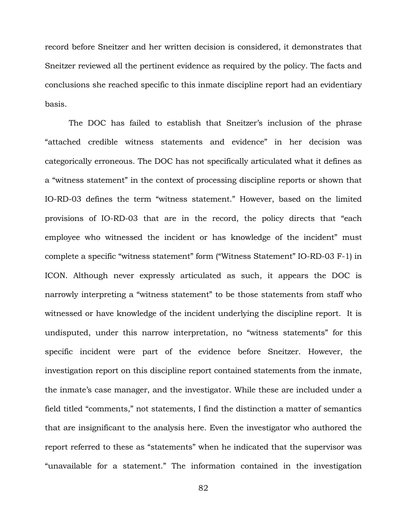record before Sneitzer and her written decision is considered, it demonstrates that Sneitzer reviewed all the pertinent evidence as required by the policy. The facts and conclusions she reached specific to this inmate discipline report had an evidentiary basis.

The DOC has failed to establish that Sneitzer's inclusion of the phrase "attached credible witness statements and evidence" in her decision was categorically erroneous. The DOC has not specifically articulated what it defines as a "witness statement" in the context of processing discipline reports or shown that IO-RD-03 defines the term "witness statement." However, based on the limited provisions of IO-RD-03 that are in the record, the policy directs that "each employee who witnessed the incident or has knowledge of the incident" must complete a specific "witness statement" form ("Witness Statement" IO-RD-03 F-1) in ICON. Although never expressly articulated as such, it appears the DOC is narrowly interpreting a "witness statement" to be those statements from staff who witnessed or have knowledge of the incident underlying the discipline report. It is undisputed, under this narrow interpretation, no "witness statements" for this specific incident were part of the evidence before Sneitzer. However, the investigation report on this discipline report contained statements from the inmate, the inmate's case manager, and the investigator. While these are included under a field titled "comments," not statements, I find the distinction a matter of semantics that are insignificant to the analysis here. Even the investigator who authored the report referred to these as "statements" when he indicated that the supervisor was "unavailable for a statement." The information contained in the investigation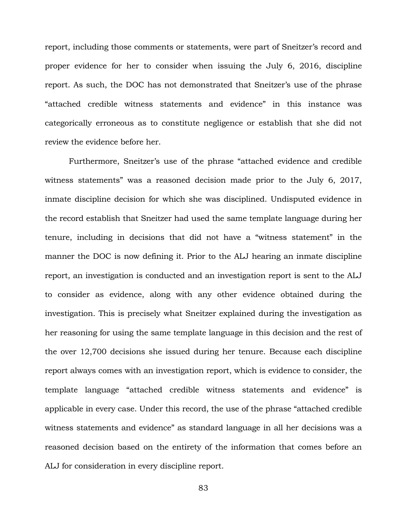report, including those comments or statements, were part of Sneitzer's record and proper evidence for her to consider when issuing the July 6, 2016, discipline report. As such, the DOC has not demonstrated that Sneitzer's use of the phrase "attached credible witness statements and evidence" in this instance was categorically erroneous as to constitute negligence or establish that she did not review the evidence before her.

Furthermore, Sneitzer's use of the phrase "attached evidence and credible witness statements" was a reasoned decision made prior to the July 6, 2017, inmate discipline decision for which she was disciplined. Undisputed evidence in the record establish that Sneitzer had used the same template language during her tenure, including in decisions that did not have a "witness statement" in the manner the DOC is now defining it. Prior to the ALJ hearing an inmate discipline report, an investigation is conducted and an investigation report is sent to the ALJ to consider as evidence, along with any other evidence obtained during the investigation. This is precisely what Sneitzer explained during the investigation as her reasoning for using the same template language in this decision and the rest of the over 12,700 decisions she issued during her tenure. Because each discipline report always comes with an investigation report, which is evidence to consider, the template language "attached credible witness statements and evidence" is applicable in every case. Under this record, the use of the phrase "attached credible witness statements and evidence" as standard language in all her decisions was a reasoned decision based on the entirety of the information that comes before an ALJ for consideration in every discipline report.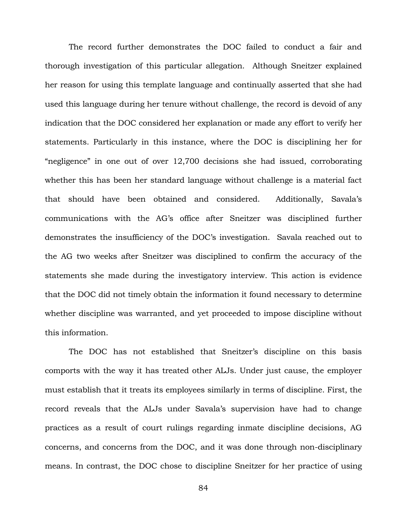The record further demonstrates the DOC failed to conduct a fair and thorough investigation of this particular allegation. Although Sneitzer explained her reason for using this template language and continually asserted that she had used this language during her tenure without challenge, the record is devoid of any indication that the DOC considered her explanation or made any effort to verify her statements. Particularly in this instance, where the DOC is disciplining her for "negligence" in one out of over 12,700 decisions she had issued, corroborating whether this has been her standard language without challenge is a material fact that should have been obtained and considered. Additionally, Savala's communications with the AG's office after Sneitzer was disciplined further demonstrates the insufficiency of the DOC's investigation. Savala reached out to the AG two weeks after Sneitzer was disciplined to confirm the accuracy of the statements she made during the investigatory interview. This action is evidence that the DOC did not timely obtain the information it found necessary to determine whether discipline was warranted, and yet proceeded to impose discipline without this information.

The DOC has not established that Sneitzer's discipline on this basis comports with the way it has treated other ALJs. Under just cause, the employer must establish that it treats its employees similarly in terms of discipline. First, the record reveals that the ALJs under Savala's supervision have had to change practices as a result of court rulings regarding inmate discipline decisions, AG concerns, and concerns from the DOC, and it was done through non-disciplinary means. In contrast, the DOC chose to discipline Sneitzer for her practice of using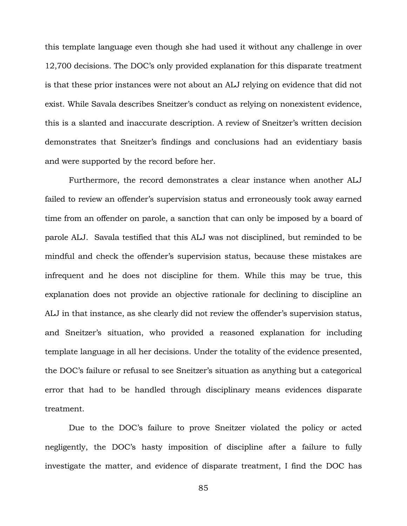this template language even though she had used it without any challenge in over 12,700 decisions. The DOC's only provided explanation for this disparate treatment is that these prior instances were not about an ALJ relying on evidence that did not exist. While Savala describes Sneitzer's conduct as relying on nonexistent evidence, this is a slanted and inaccurate description. A review of Sneitzer's written decision demonstrates that Sneitzer's findings and conclusions had an evidentiary basis and were supported by the record before her.

Furthermore, the record demonstrates a clear instance when another ALJ failed to review an offender's supervision status and erroneously took away earned time from an offender on parole, a sanction that can only be imposed by a board of parole ALJ. Savala testified that this ALJ was not disciplined, but reminded to be mindful and check the offender's supervision status, because these mistakes are infrequent and he does not discipline for them. While this may be true, this explanation does not provide an objective rationale for declining to discipline an ALJ in that instance, as she clearly did not review the offender's supervision status, and Sneitzer's situation, who provided a reasoned explanation for including template language in all her decisions. Under the totality of the evidence presented, the DOC's failure or refusal to see Sneitzer's situation as anything but a categorical error that had to be handled through disciplinary means evidences disparate treatment.

Due to the DOC's failure to prove Sneitzer violated the policy or acted negligently, the DOC's hasty imposition of discipline after a failure to fully investigate the matter, and evidence of disparate treatment, I find the DOC has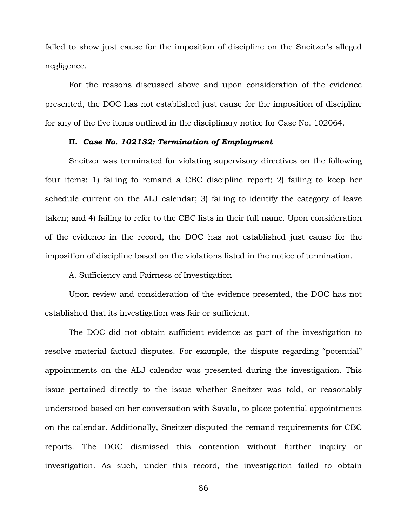failed to show just cause for the imposition of discipline on the Sneitzer's alleged negligence.

For the reasons discussed above and upon consideration of the evidence presented, the DOC has not established just cause for the imposition of discipline for any of the five items outlined in the disciplinary notice for Case No. 102064.

#### **II.** *Case No. 102132: Termination of Employment*

Sneitzer was terminated for violating supervisory directives on the following four items: 1) failing to remand a CBC discipline report; 2) failing to keep her schedule current on the ALJ calendar; 3) failing to identify the category of leave taken; and 4) failing to refer to the CBC lists in their full name. Upon consideration of the evidence in the record, the DOC has not established just cause for the imposition of discipline based on the violations listed in the notice of termination.

## A. Sufficiency and Fairness of Investigation

Upon review and consideration of the evidence presented, the DOC has not established that its investigation was fair or sufficient.

The DOC did not obtain sufficient evidence as part of the investigation to resolve material factual disputes. For example, the dispute regarding "potential" appointments on the ALJ calendar was presented during the investigation. This issue pertained directly to the issue whether Sneitzer was told, or reasonably understood based on her conversation with Savala, to place potential appointments on the calendar. Additionally, Sneitzer disputed the remand requirements for CBC reports. The DOC dismissed this contention without further inquiry or investigation. As such, under this record, the investigation failed to obtain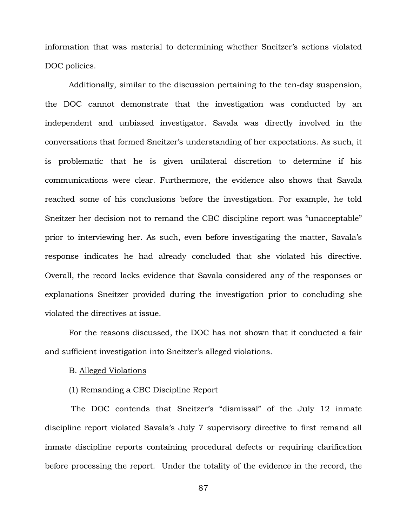information that was material to determining whether Sneitzer's actions violated DOC policies.

Additionally, similar to the discussion pertaining to the ten-day suspension, the DOC cannot demonstrate that the investigation was conducted by an independent and unbiased investigator. Savala was directly involved in the conversations that formed Sneitzer's understanding of her expectations. As such, it is problematic that he is given unilateral discretion to determine if his communications were clear. Furthermore, the evidence also shows that Savala reached some of his conclusions before the investigation. For example, he told Sneitzer her decision not to remand the CBC discipline report was "unacceptable" prior to interviewing her. As such, even before investigating the matter, Savala's response indicates he had already concluded that she violated his directive. Overall, the record lacks evidence that Savala considered any of the responses or explanations Sneitzer provided during the investigation prior to concluding she violated the directives at issue.

For the reasons discussed, the DOC has not shown that it conducted a fair and sufficient investigation into Sneitzer's alleged violations.

# B. Alleged Violations

### (1) Remanding a CBC Discipline Report

The DOC contends that Sneitzer's "dismissal" of the July 12 inmate discipline report violated Savala's July 7 supervisory directive to first remand all inmate discipline reports containing procedural defects or requiring clarification before processing the report. Under the totality of the evidence in the record, the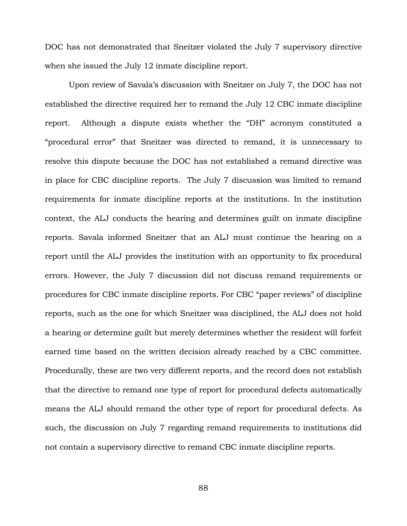DOC has not demonstrated that Sneitzer violated the July 7 supervisory directive when she issued the July 12 inmate discipline report.

Upon review of Savala's discussion with Sneitzer on July 7, the DOC has not established the directive required her to remand the July 12 CBC inmate discipline report. Although a dispute exists whether the "DH" acronym constituted a "procedural error" that Sneitzer was directed to remand, it is unnecessary to resolve this dispute because the DOC has not established a remand directive was in place for CBC discipline reports. The July 7 discussion was limited to remand requirements for inmate discipline reports at the institutions. In the institution context, the ALJ conducts the hearing and determines guilt on inmate discipline reports. Savala informed Sneitzer that an ALJ must continue the hearing on a report until the ALJ provides the institution with an opportunity to fix procedural errors. However, the July 7 discussion did not discuss remand requirements or procedures for CBC inmate discipline reports. For CBC "paper reviews" of discipline reports, such as the one for which Sneitzer was disciplined, the ALJ does not hold a hearing or determine guilt but merely determines whether the resident will forfeit earned time based on the written decision already reached by a CBC committee. Procedurally, these are two very different reports, and the record does not establish that the directive to remand one type of report for procedural defects automatically means the ALJ should remand the other type of report for procedural defects. As such, the discussion on July 7 regarding remand requirements to institutions did not contain a supervisory directive to remand CBC inmate discipline reports.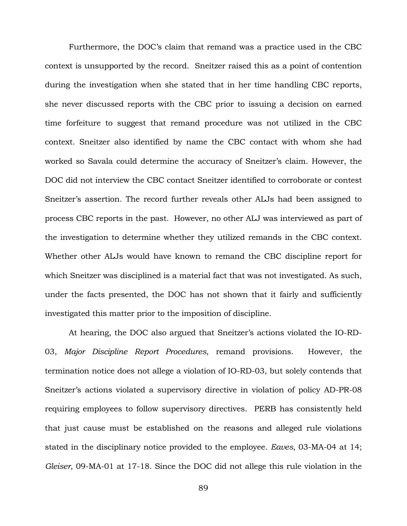Furthermore, the DOC's claim that remand was a practice used in the CBC context is unsupported by the record. Sneitzer raised this as a point of contention during the investigation when she stated that in her time handling CBC reports, she never discussed reports with the CBC prior to issuing a decision on earned time forfeiture to suggest that remand procedure was not utilized in the CBC context. Sneitzer also identified by name the CBC contact with whom she had worked so Savala could determine the accuracy of Sneitzer's claim. However, the DOC did not interview the CBC contact Sneitzer identified to corroborate or contest Sneitzer's assertion. The record further reveals other ALJs had been assigned to process CBC reports in the past. However, no other ALJ was interviewed as part of the investigation to determine whether they utilized remands in the CBC context. Whether other ALJs would have known to remand the CBC discipline report for which Sneitzer was disciplined is a material fact that was not investigated. As such, under the facts presented, the DOC has not shown that it fairly and sufficiently investigated this matter prior to the imposition of discipline.

At hearing, the DOC also argued that Sneitzer's actions violated the IO-RD-03, *Major Discipline Report Procedures*, remand provisions. However, the termination notice does not allege a violation of IO-RD-03, but solely contends that Sneitzer's actions violated a supervisory directive in violation of policy AD-PR-08 requiring employees to follow supervisory directives. PERB has consistently held that just cause must be established on the reasons and alleged rule violations stated in the disciplinary notice provided to the employee. *Eaves*, 03-MA-04 at 14; *Gleiser*, 09-MA-01 at 17-18. Since the DOC did not allege this rule violation in the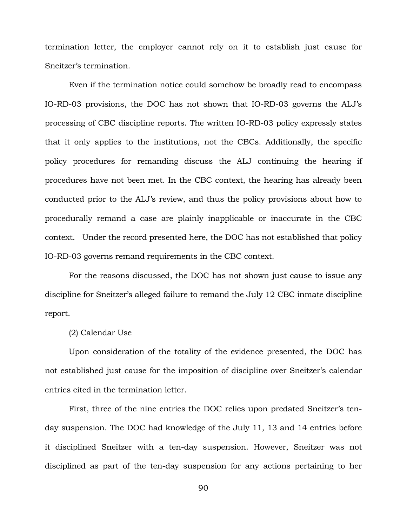termination letter, the employer cannot rely on it to establish just cause for Sneitzer's termination.

Even if the termination notice could somehow be broadly read to encompass IO-RD-03 provisions, the DOC has not shown that IO-RD-03 governs the ALJ's processing of CBC discipline reports. The written IO-RD-03 policy expressly states that it only applies to the institutions, not the CBCs. Additionally, the specific policy procedures for remanding discuss the ALJ continuing the hearing if procedures have not been met. In the CBC context, the hearing has already been conducted prior to the ALJ's review, and thus the policy provisions about how to procedurally remand a case are plainly inapplicable or inaccurate in the CBC context. Under the record presented here, the DOC has not established that policy IO-RD-03 governs remand requirements in the CBC context.

For the reasons discussed, the DOC has not shown just cause to issue any discipline for Sneitzer's alleged failure to remand the July 12 CBC inmate discipline report.

(2) Calendar Use

Upon consideration of the totality of the evidence presented, the DOC has not established just cause for the imposition of discipline over Sneitzer's calendar entries cited in the termination letter.

First, three of the nine entries the DOC relies upon predated Sneitzer's tenday suspension. The DOC had knowledge of the July 11, 13 and 14 entries before it disciplined Sneitzer with a ten-day suspension. However, Sneitzer was not disciplined as part of the ten-day suspension for any actions pertaining to her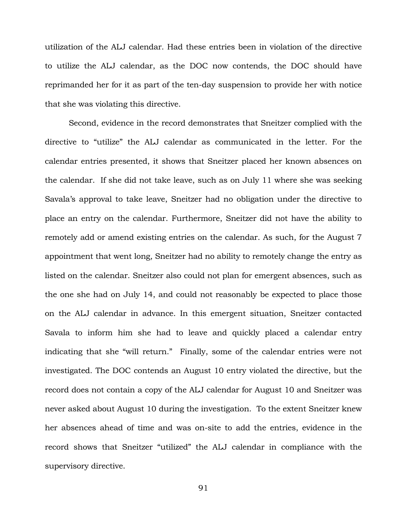utilization of the ALJ calendar. Had these entries been in violation of the directive to utilize the ALJ calendar, as the DOC now contends, the DOC should have reprimanded her for it as part of the ten-day suspension to provide her with notice that she was violating this directive.

Second, evidence in the record demonstrates that Sneitzer complied with the directive to "utilize" the ALJ calendar as communicated in the letter. For the calendar entries presented, it shows that Sneitzer placed her known absences on the calendar. If she did not take leave, such as on July 11 where she was seeking Savala's approval to take leave, Sneitzer had no obligation under the directive to place an entry on the calendar. Furthermore, Sneitzer did not have the ability to remotely add or amend existing entries on the calendar. As such, for the August 7 appointment that went long, Sneitzer had no ability to remotely change the entry as listed on the calendar. Sneitzer also could not plan for emergent absences, such as the one she had on July 14, and could not reasonably be expected to place those on the ALJ calendar in advance. In this emergent situation, Sneitzer contacted Savala to inform him she had to leave and quickly placed a calendar entry indicating that she "will return." Finally, some of the calendar entries were not investigated. The DOC contends an August 10 entry violated the directive, but the record does not contain a copy of the ALJ calendar for August 10 and Sneitzer was never asked about August 10 during the investigation. To the extent Sneitzer knew her absences ahead of time and was on-site to add the entries, evidence in the record shows that Sneitzer "utilized" the ALJ calendar in compliance with the supervisory directive.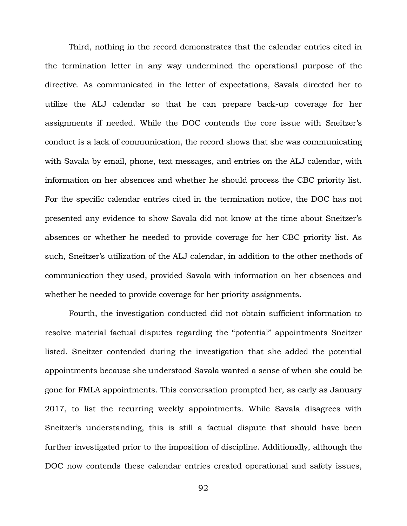Third, nothing in the record demonstrates that the calendar entries cited in the termination letter in any way undermined the operational purpose of the directive. As communicated in the letter of expectations, Savala directed her to utilize the ALJ calendar so that he can prepare back-up coverage for her assignments if needed. While the DOC contends the core issue with Sneitzer's conduct is a lack of communication, the record shows that she was communicating with Savala by email, phone, text messages, and entries on the ALJ calendar, with information on her absences and whether he should process the CBC priority list. For the specific calendar entries cited in the termination notice, the DOC has not presented any evidence to show Savala did not know at the time about Sneitzer's absences or whether he needed to provide coverage for her CBC priority list. As such, Sneitzer's utilization of the ALJ calendar, in addition to the other methods of communication they used, provided Savala with information on her absences and whether he needed to provide coverage for her priority assignments.

Fourth, the investigation conducted did not obtain sufficient information to resolve material factual disputes regarding the "potential" appointments Sneitzer listed. Sneitzer contended during the investigation that she added the potential appointments because she understood Savala wanted a sense of when she could be gone for FMLA appointments. This conversation prompted her, as early as January 2017, to list the recurring weekly appointments. While Savala disagrees with Sneitzer's understanding, this is still a factual dispute that should have been further investigated prior to the imposition of discipline. Additionally, although the DOC now contends these calendar entries created operational and safety issues,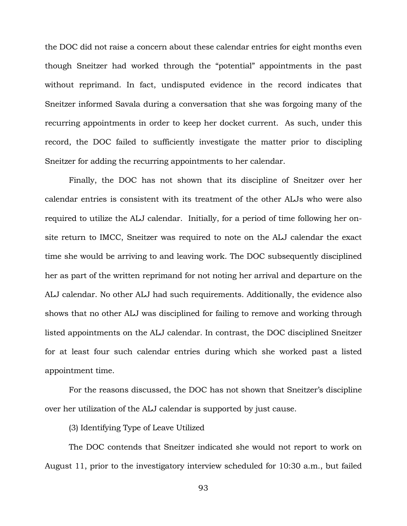the DOC did not raise a concern about these calendar entries for eight months even though Sneitzer had worked through the "potential" appointments in the past without reprimand. In fact, undisputed evidence in the record indicates that Sneitzer informed Savala during a conversation that she was forgoing many of the recurring appointments in order to keep her docket current. As such, under this record, the DOC failed to sufficiently investigate the matter prior to discipling Sneitzer for adding the recurring appointments to her calendar.

Finally, the DOC has not shown that its discipline of Sneitzer over her calendar entries is consistent with its treatment of the other ALJs who were also required to utilize the ALJ calendar. Initially, for a period of time following her onsite return to IMCC, Sneitzer was required to note on the ALJ calendar the exact time she would be arriving to and leaving work. The DOC subsequently disciplined her as part of the written reprimand for not noting her arrival and departure on the ALJ calendar. No other ALJ had such requirements. Additionally, the evidence also shows that no other ALJ was disciplined for failing to remove and working through listed appointments on the ALJ calendar. In contrast, the DOC disciplined Sneitzer for at least four such calendar entries during which she worked past a listed appointment time.

For the reasons discussed, the DOC has not shown that Sneitzer's discipline over her utilization of the ALJ calendar is supported by just cause.

(3) Identifying Type of Leave Utilized

The DOC contends that Sneitzer indicated she would not report to work on August 11, prior to the investigatory interview scheduled for 10:30 a.m., but failed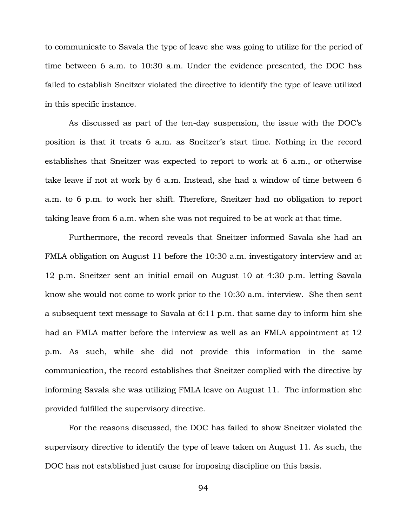to communicate to Savala the type of leave she was going to utilize for the period of time between 6 a.m. to 10:30 a.m. Under the evidence presented, the DOC has failed to establish Sneitzer violated the directive to identify the type of leave utilized in this specific instance.

As discussed as part of the ten-day suspension, the issue with the DOC's position is that it treats 6 a.m. as Sneitzer's start time. Nothing in the record establishes that Sneitzer was expected to report to work at 6 a.m., or otherwise take leave if not at work by 6 a.m. Instead, she had a window of time between 6 a.m. to 6 p.m. to work her shift. Therefore, Sneitzer had no obligation to report taking leave from 6 a.m. when she was not required to be at work at that time.

Furthermore, the record reveals that Sneitzer informed Savala she had an FMLA obligation on August 11 before the 10:30 a.m. investigatory interview and at 12 p.m. Sneitzer sent an initial email on August 10 at 4:30 p.m. letting Savala know she would not come to work prior to the 10:30 a.m. interview. She then sent a subsequent text message to Savala at 6:11 p.m. that same day to inform him she had an FMLA matter before the interview as well as an FMLA appointment at 12 p.m. As such, while she did not provide this information in the same communication, the record establishes that Sneitzer complied with the directive by informing Savala she was utilizing FMLA leave on August 11. The information she provided fulfilled the supervisory directive.

For the reasons discussed, the DOC has failed to show Sneitzer violated the supervisory directive to identify the type of leave taken on August 11. As such, the DOC has not established just cause for imposing discipline on this basis.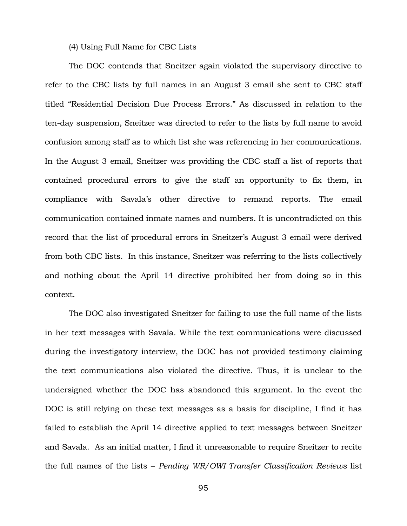(4) Using Full Name for CBC Lists

The DOC contends that Sneitzer again violated the supervisory directive to refer to the CBC lists by full names in an August 3 email she sent to CBC staff titled "Residential Decision Due Process Errors." As discussed in relation to the ten-day suspension, Sneitzer was directed to refer to the lists by full name to avoid confusion among staff as to which list she was referencing in her communications. In the August 3 email, Sneitzer was providing the CBC staff a list of reports that contained procedural errors to give the staff an opportunity to fix them, in compliance with Savala's other directive to remand reports. The email communication contained inmate names and numbers. It is uncontradicted on this record that the list of procedural errors in Sneitzer's August 3 email were derived from both CBC lists. In this instance, Sneitzer was referring to the lists collectively and nothing about the April 14 directive prohibited her from doing so in this context.

The DOC also investigated Sneitzer for failing to use the full name of the lists in her text messages with Savala. While the text communications were discussed during the investigatory interview, the DOC has not provided testimony claiming the text communications also violated the directive. Thus, it is unclear to the undersigned whether the DOC has abandoned this argument. In the event the DOC is still relying on these text messages as a basis for discipline, I find it has failed to establish the April 14 directive applied to text messages between Sneitzer and Savala. As an initial matter, I find it unreasonable to require Sneitzer to recite the full names of the lists – *Pending WR/OWI Transfer Classification Reviews* list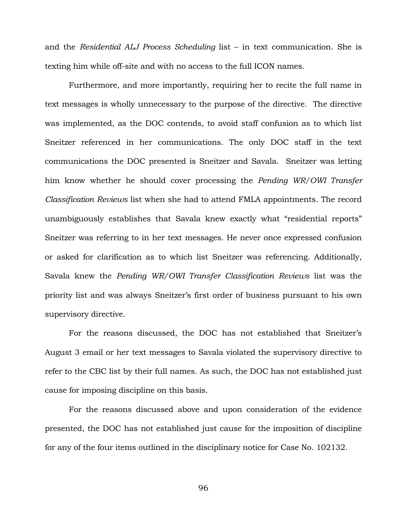and the *Residential ALJ Process Scheduling* list – in text communication. She is texting him while off-site and with no access to the full ICON names.

Furthermore, and more importantly, requiring her to recite the full name in text messages is wholly unnecessary to the purpose of the directive. The directive was implemented, as the DOC contends, to avoid staff confusion as to which list Sneitzer referenced in her communications. The only DOC staff in the text communications the DOC presented is Sneitzer and Savala. Sneitzer was letting him know whether he should cover processing the *Pending WR/OWI Transfer Classification Reviews* list when she had to attend FMLA appointments. The record unambiguously establishes that Savala knew exactly what "residential reports" Sneitzer was referring to in her text messages. He never once expressed confusion or asked for clarification as to which list Sneitzer was referencing. Additionally, Savala knew the *Pending WR/OWI Transfer Classification Reviews* list was the priority list and was always Sneitzer's first order of business pursuant to his own supervisory directive.

For the reasons discussed, the DOC has not established that Sneitzer's August 3 email or her text messages to Savala violated the supervisory directive to refer to the CBC list by their full names. As such, the DOC has not established just cause for imposing discipline on this basis.

For the reasons discussed above and upon consideration of the evidence presented, the DOC has not established just cause for the imposition of discipline for any of the four items outlined in the disciplinary notice for Case No. 102132.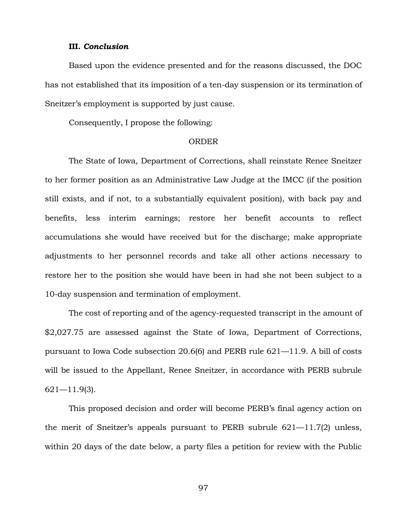## **III.** *Conclusion*

Based upon the evidence presented and for the reasons discussed, the DOC has not established that its imposition of a ten-day suspension or its termination of Sneitzer's employment is supported by just cause.

Consequently, I propose the following:

#### ORDER

The State of Iowa, Department of Corrections, shall reinstate Renee Sneitzer to her former position as an Administrative Law Judge at the IMCC (if the position still exists, and if not, to a substantially equivalent position), with back pay and benefits, less interim earnings; restore her benefit accounts to reflect accumulations she would have received but for the discharge; make appropriate adjustments to her personnel records and take all other actions necessary to restore her to the position she would have been in had she not been subject to a 10-day suspension and termination of employment.

The cost of reporting and of the agency-requested transcript in the amount of \$2,027.75 are assessed against the State of Iowa, Department of Corrections, pursuant to Iowa Code subsection 20.6(6) and PERB rule 621—11.9. A bill of costs will be issued to the Appellant, Renee Sneitzer, in accordance with PERB subrule 621—11.9(3).

This proposed decision and order will become PERB's final agency action on the merit of Sneitzer's appeals pursuant to PERB subrule 621—11.7(2) unless, within 20 days of the date below, a party files a petition for review with the Public